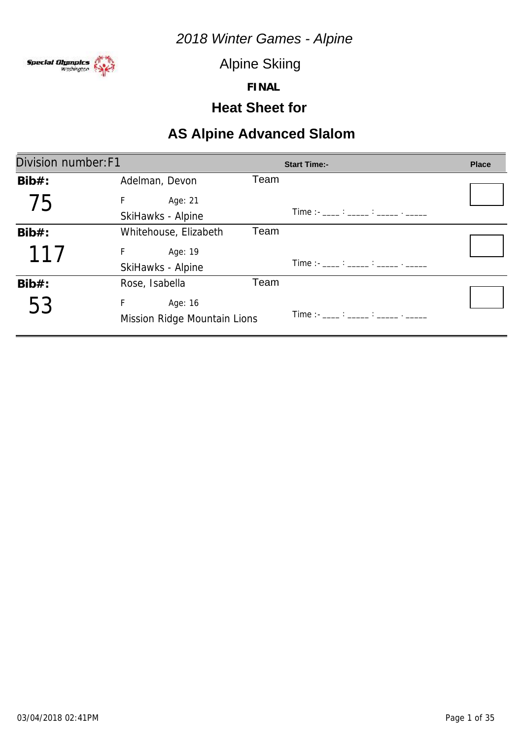

Alpine Skiing

**FINAL**

#### **Heat Sheet for**

| Division number: F1   |      |                                       | <b>Place</b>                                                      |
|-----------------------|------|---------------------------------------|-------------------------------------------------------------------|
| Adelman, Devon        | Team |                                       |                                                                   |
| F.<br>Age: 21         |      |                                       |                                                                   |
| SkiHawks - Alpine     |      | Time :- ____ : _____ : _____ . _____  |                                                                   |
| Whitehouse, Elizabeth | Team |                                       |                                                                   |
| Age: 19<br>F.         |      |                                       |                                                                   |
| SkiHawks - Alpine     |      |                                       |                                                                   |
| Rose, Isabella        | Team |                                       |                                                                   |
| F<br>Age: 16          |      |                                       |                                                                   |
|                       |      | Time : - ____ : _____ : _____ . _____ |                                                                   |
|                       |      | Mission Ridge Mountain Lions          | <b>Start Time:-</b><br>Time :- ___ : ____ : _____ : _____ . _____ |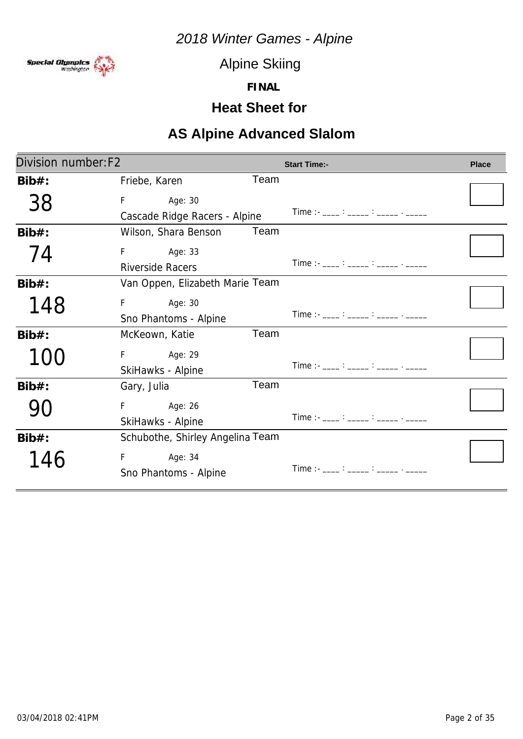

Alpine Skiing

**FINAL**

### **Heat Sheet for**

| Division number: F2 |                                  |      | <b>Start Time:-</b>                        | <b>Place</b> |
|---------------------|----------------------------------|------|--------------------------------------------|--------------|
| $Bib#$ :            | Friebe, Karen                    | Team |                                            |              |
| 38                  | F<br>Age: 30                     |      |                                            |              |
|                     | Cascade Ridge Racers - Alpine    |      | Time :- ____ : _____ : _____ . _____       |              |
| $Bib#$ :            | Wilson, Shara Benson             | Team |                                            |              |
| 74                  | F<br>Age: 33                     |      |                                            |              |
|                     | <b>Riverside Racers</b>          |      | Time :- ____ : _____ : _____ . _____       |              |
| $Bib#$ :            | Van Oppen, Elizabeth Marie Team  |      |                                            |              |
| 148                 | Age: 30<br>F                     |      |                                            |              |
|                     | Sno Phantoms - Alpine            |      |                                            |              |
| $Bib#$ :            | McKeown, Katie                   | Team |                                            |              |
|                     | F Age: 29                        |      |                                            |              |
|                     | SkiHawks - Alpine                |      | Time :- ___ : ____ : _____ : _____ . _____ |              |
| $Bib#$ :            | Gary, Julia                      | Team |                                            |              |
|                     | F<br>Age: 26                     |      |                                            |              |
|                     | SkiHawks - Alpine                |      | Time :- ____ : _____ : _____ . _____       |              |
| $Bib#$ :            | Schubothe, Shirley Angelina Team |      |                                            |              |
| 146                 | F Age: 34                        |      |                                            |              |
|                     | Sno Phantoms - Alpine            |      | Time :- ____ : _____ : _____ . _____       |              |
|                     |                                  |      |                                            |              |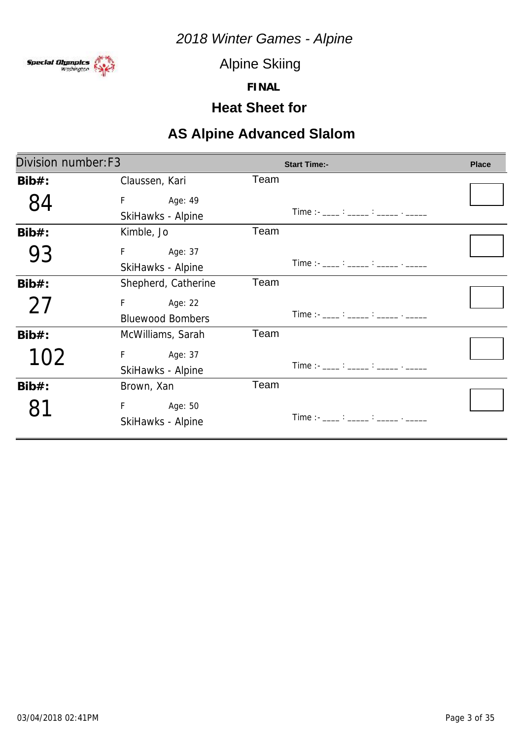

Alpine Skiing

**FINAL**

### **Heat Sheet for**

| Division number: F3 |                                          |      | <b>Start Time:-</b>                                                                                                                                                                                                                                                                                    | <b>Place</b> |
|---------------------|------------------------------------------|------|--------------------------------------------------------------------------------------------------------------------------------------------------------------------------------------------------------------------------------------------------------------------------------------------------------|--------------|
| $Bib#$ :            | Claussen, Kari                           | Team |                                                                                                                                                                                                                                                                                                        |              |
|                     | F<br>Age: 49<br>SkiHawks - Alpine        |      | $Time:  \frac{?}{?}$ $\frac{?}{?}$ $\frac{?}{?}$ $\frac{?}{?}$ $\frac{?}{?}$                                                                                                                                                                                                                           |              |
| $Bib#$ :            | Kimble, Jo                               | Team |                                                                                                                                                                                                                                                                                                        |              |
| 93                  | F Age: 37<br>SkiHawks - Alpine           |      | $Time:  \frac{?}{?}$ $\frac{?}{?}$ $\frac{?}{?}$ $\frac{?}{?}$ $\frac{?}{?}$                                                                                                                                                                                                                           |              |
| $Bib#$ :            | Shepherd, Catherine                      | Team |                                                                                                                                                                                                                                                                                                        |              |
| 27                  | Age: 22<br>F.<br><b>Bluewood Bombers</b> |      | $Time:  \frac{1}{2}$ : $\frac{1}{2}$ : $\frac{1}{2}$ : $\frac{1}{2}$ : $\frac{1}{2}$ : $\frac{1}{2}$ : $\frac{1}{2}$ : $\frac{1}{2}$ : $\frac{1}{2}$ : $\frac{1}{2}$ : $\frac{1}{2}$ : $\frac{1}{2}$ : $\frac{1}{2}$ : $\frac{1}{2}$ : $\frac{1}{2}$ : $\frac{1}{2}$ : $\frac{1}{2}$ : $\frac{1}{2}$ : |              |
| $Bib#$ :            | McWilliams, Sarah                        | Team |                                                                                                                                                                                                                                                                                                        |              |
| 102                 | F.<br>Age: 37<br>SkiHawks - Alpine       |      | $Time:  \frac{1}{2}$ : $\frac{1}{2}$ : $\frac{1}{2}$ : $\frac{1}{2}$ : $\frac{1}{2}$ : $\frac{1}{2}$ : $\frac{1}{2}$                                                                                                                                                                                   |              |
| $Bib#$ :            | Brown, Xan                               | Team |                                                                                                                                                                                                                                                                                                        |              |
|                     | F<br>Age: 50<br>SkiHawks - Alpine        |      | Time :- ____ : _____ : _____ . _____                                                                                                                                                                                                                                                                   |              |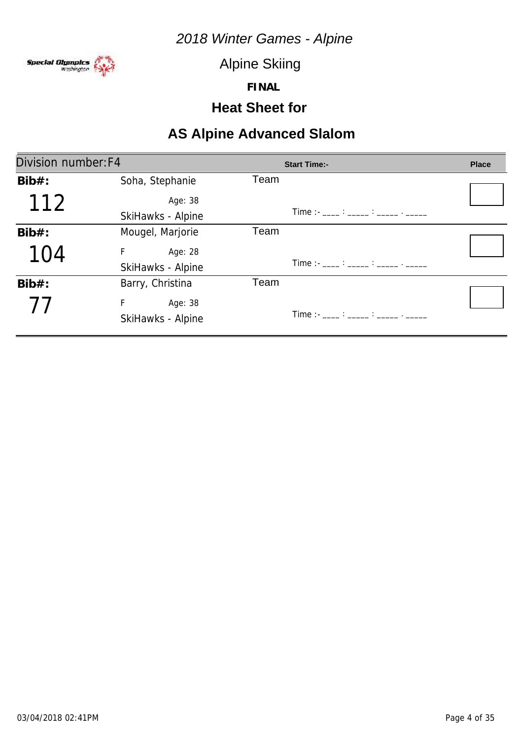

Alpine Skiing

**FINAL**

### **Heat Sheet for**

| Division number: F4 |                   | <b>Start Time:-</b>                                                                                                                                                                                                                                                                                    | <b>Place</b> |
|---------------------|-------------------|--------------------------------------------------------------------------------------------------------------------------------------------------------------------------------------------------------------------------------------------------------------------------------------------------------|--------------|
| $Bib#$ :            | Soha, Stephanie   | Team                                                                                                                                                                                                                                                                                                   |              |
| 112                 | Age: 38           |                                                                                                                                                                                                                                                                                                        |              |
|                     | SkiHawks - Alpine | $Time:  \frac{1}{2}$ : $\frac{1}{2}$ : $\frac{1}{2}$ : $\frac{1}{2}$ : $\frac{1}{2}$ : $\frac{1}{2}$ : $\frac{1}{2}$ : $\frac{1}{2}$ : $\frac{1}{2}$ : $\frac{1}{2}$ : $\frac{1}{2}$ : $\frac{1}{2}$ : $\frac{1}{2}$ : $\frac{1}{2}$ : $\frac{1}{2}$ : $\frac{1}{2}$ : $\frac{1}{2}$ : $\frac{1}{2}$ : |              |
| $Bib#$ :            | Mougel, Marjorie  | Team                                                                                                                                                                                                                                                                                                   |              |
| 104                 | F<br>Age: 28      |                                                                                                                                                                                                                                                                                                        |              |
|                     | SkiHawks - Alpine | Time :- ____ : _____ : _____ . _____                                                                                                                                                                                                                                                                   |              |
| $Bib#$ :            | Barry, Christina  | Team                                                                                                                                                                                                                                                                                                   |              |
| 77                  | F<br>Age: 38      |                                                                                                                                                                                                                                                                                                        |              |
|                     | SkiHawks - Alpine |                                                                                                                                                                                                                                                                                                        |              |
|                     |                   |                                                                                                                                                                                                                                                                                                        |              |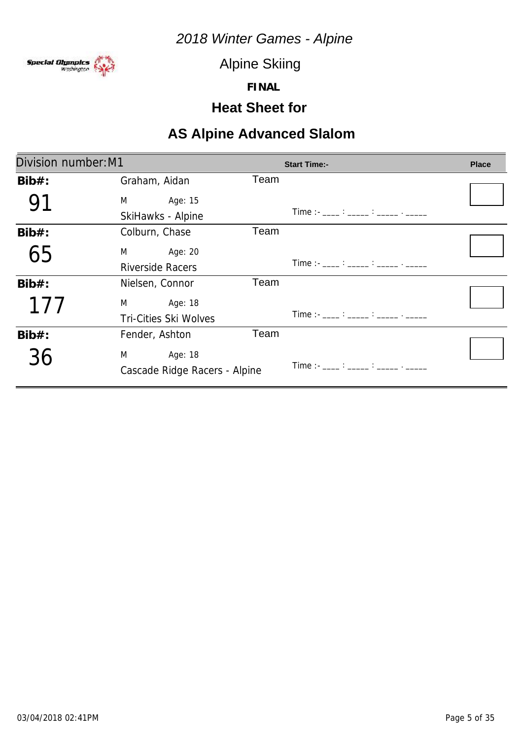

Alpine Skiing

**FINAL**

### **Heat Sheet for**

| Division number: M1 |                                                                                                                                                                                                                                                     |      | <b>Start Time:-</b>                        | <b>Place</b> |
|---------------------|-----------------------------------------------------------------------------------------------------------------------------------------------------------------------------------------------------------------------------------------------------|------|--------------------------------------------|--------------|
| $Bib#$ :            | Graham, Aidan                                                                                                                                                                                                                                       | Team |                                            |              |
|                     | Age: 15<br>M <sub>2</sub> and the state of the state of the state of the state of the state of the state of the state of the state of the state of the state of the state of the state of the state of the state of the state of the state of the s |      |                                            |              |
|                     | SkiHawks - Alpine                                                                                                                                                                                                                                   |      | Time :- ____ : _____ : _____ . _____       |              |
| $Bib#$ :            | Colburn, Chase                                                                                                                                                                                                                                      | Team |                                            |              |
| 65                  | M<br>Age: 20                                                                                                                                                                                                                                        |      |                                            |              |
|                     | <b>Riverside Racers</b>                                                                                                                                                                                                                             |      | Time :- ____ : _____ : _____ . _____       |              |
| $Bib#$ :            | Nielsen, Connor                                                                                                                                                                                                                                     | Team |                                            |              |
| 177                 | M <sub>2</sub><br>Age: 18                                                                                                                                                                                                                           |      |                                            |              |
|                     | <b>Tri-Cities Ski Wolves</b>                                                                                                                                                                                                                        |      | Time :- ____ : _____ : _____ . _____       |              |
| $Bib#$ :            | Fender, Ashton                                                                                                                                                                                                                                      | Team |                                            |              |
| 36                  | M<br>Age: 18                                                                                                                                                                                                                                        |      |                                            |              |
|                     | Cascade Ridge Racers - Alpine                                                                                                                                                                                                                       |      | Time :- ___ : ____ : _____ : _____ . _____ |              |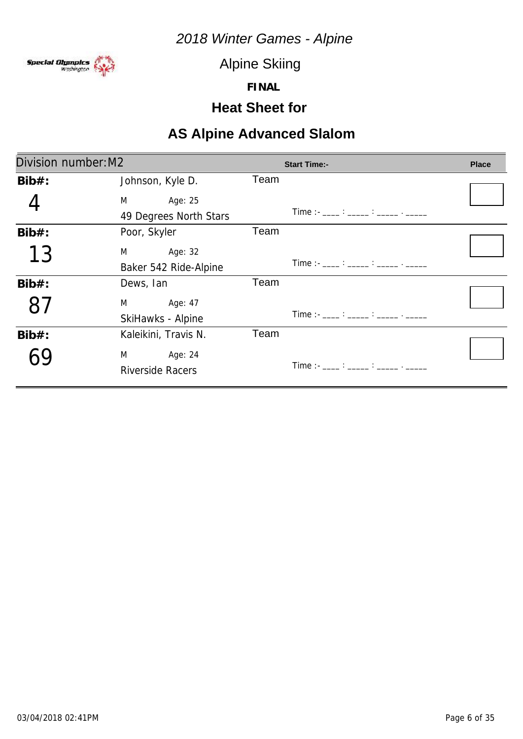

Alpine Skiing

**FINAL**

### **Heat Sheet for**

| Division number: M2 |                                                                                                                                                                                                                                                     | <b>Start Time:-</b>                                                                                                                                                                                                                                                                                    | <b>Place</b> |
|---------------------|-----------------------------------------------------------------------------------------------------------------------------------------------------------------------------------------------------------------------------------------------------|--------------------------------------------------------------------------------------------------------------------------------------------------------------------------------------------------------------------------------------------------------------------------------------------------------|--------------|
| $Bib#$ :            | Johnson, Kyle D.                                                                                                                                                                                                                                    | Team                                                                                                                                                                                                                                                                                                   |              |
|                     | Age: 25<br>M <sub>2</sub> and the state of the state of the state of the state of the state of the state of the state of the state of the state of the state of the state of the state of the state of the state of the state of the state of the s |                                                                                                                                                                                                                                                                                                        |              |
|                     | 49 Degrees North Stars                                                                                                                                                                                                                              | Time :- ____ : _____ : _____ . _____                                                                                                                                                                                                                                                                   |              |
| $Bib#$ :            | Poor, Skyler                                                                                                                                                                                                                                        | Team                                                                                                                                                                                                                                                                                                   |              |
| 13                  | Age: 32<br>M                                                                                                                                                                                                                                        |                                                                                                                                                                                                                                                                                                        |              |
|                     | Baker 542 Ride-Alpine                                                                                                                                                                                                                               | $Time:  \frac{1}{2}$ : $\frac{1}{2}$ : $\frac{1}{2}$ : $\frac{1}{2}$ : $\frac{1}{2}$ : $\frac{1}{2}$ : $\frac{1}{2}$ : $\frac{1}{2}$ : $\frac{1}{2}$ : $\frac{1}{2}$ : $\frac{1}{2}$ : $\frac{1}{2}$ : $\frac{1}{2}$ : $\frac{1}{2}$ : $\frac{1}{2}$ : $\frac{1}{2}$ : $\frac{1}{2}$ : $\frac{1}{2}$ : |              |
| $Bib#$ :            | Dews, Ian                                                                                                                                                                                                                                           | Team                                                                                                                                                                                                                                                                                                   |              |
|                     | Age: 47<br>M <sub>2</sub>                                                                                                                                                                                                                           |                                                                                                                                                                                                                                                                                                        |              |
|                     | SkiHawks - Alpine                                                                                                                                                                                                                                   | Time :- ____ : _____ : _____ . _____                                                                                                                                                                                                                                                                   |              |
| $Bib#$ :            | Kaleikini, Travis N.                                                                                                                                                                                                                                | Team                                                                                                                                                                                                                                                                                                   |              |
|                     | Age: 24<br>M                                                                                                                                                                                                                                        |                                                                                                                                                                                                                                                                                                        |              |
|                     | <b>Riverside Racers</b>                                                                                                                                                                                                                             | Time : $\frac{1}{2}$ : $\frac{1}{2}$ : $\frac{1}{2}$ : $\frac{1}{2}$ : $\frac{1}{2}$ : $\frac{1}{2}$ : $\frac{1}{2}$ : $\frac{1}{2}$ : $\frac{1}{2}$ : $\frac{1}{2}$ : $\frac{1}{2}$ : $\frac{1}{2}$ : $\frac{1}{2}$ : $\frac{1}{2}$ : $\frac{1}{2}$ : $\frac{1}{2}$ : $\frac{1}{2}$ : $\frac{1}{2}$   |              |
|                     |                                                                                                                                                                                                                                                     |                                                                                                                                                                                                                                                                                                        |              |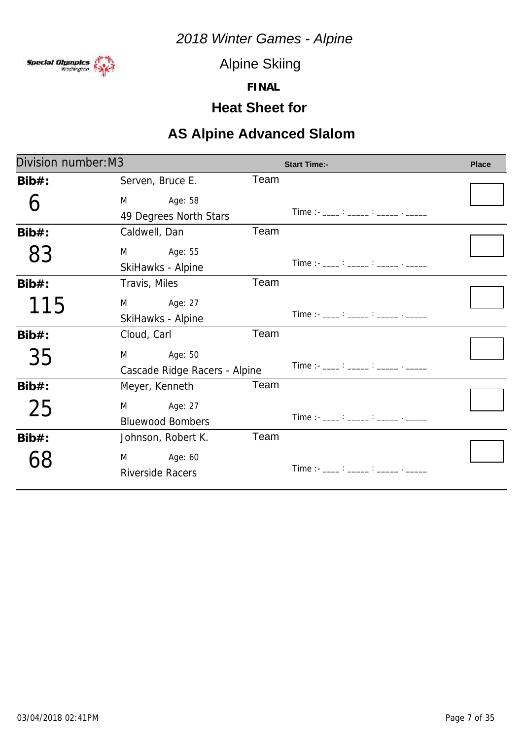

Alpine Skiing

**FINAL**

### **Heat Sheet for**

| Division number: M3 |                               |      | <b>Start Time:-</b>                                                                                                                                                                                                                                                                                    | <b>Place</b> |
|---------------------|-------------------------------|------|--------------------------------------------------------------------------------------------------------------------------------------------------------------------------------------------------------------------------------------------------------------------------------------------------------|--------------|
| $Bib#$ :            | Serven, Bruce E.              | Team |                                                                                                                                                                                                                                                                                                        |              |
|                     | Age: 58<br>M                  |      |                                                                                                                                                                                                                                                                                                        |              |
|                     | 49 Degrees North Stars        |      | $Time: 11.22: 12.22: 12.22: 12.22: 12.22: 12.22: 12.22: 12.22: 12.22: 12.22: 12.22: 12.22: 12.22: 12.22: 12.22: 12.22: 12.22: 12.22: 12.22: 12.22: 12.22: 12.22: 12.22: 12.22: 12.22: 12.22: 12.22: 12.22: 12.22: 12.22: 12.22: $                                                                      |              |
| $Bib#$ :            | Caldwell, Dan                 | Team |                                                                                                                                                                                                                                                                                                        |              |
| 83                  | M Age: 55                     |      |                                                                                                                                                                                                                                                                                                        |              |
|                     | SkiHawks - Alpine             |      | Time :- ____ : _____ : _____ . _____                                                                                                                                                                                                                                                                   |              |
| $Bib#$ :            | Travis, Miles                 | Team |                                                                                                                                                                                                                                                                                                        |              |
| 115                 | Age: 27<br>M                  |      |                                                                                                                                                                                                                                                                                                        |              |
|                     | SkiHawks - Alpine             |      | $Time:  \frac{1}{2}$ : $\frac{1}{2}$ : $\frac{1}{2}$ : $\frac{1}{2}$ : $\frac{1}{2}$ : $\frac{1}{2}$ : $\frac{1}{2}$ : $\frac{1}{2}$ : $\frac{1}{2}$ : $\frac{1}{2}$ : $\frac{1}{2}$ : $\frac{1}{2}$ : $\frac{1}{2}$ : $\frac{1}{2}$ : $\frac{1}{2}$ : $\frac{1}{2}$ : $\frac{1}{2}$ : $\frac{1}{2}$ : |              |
| $Bib#$ :            | Cloud, Carl                   | Team |                                                                                                                                                                                                                                                                                                        |              |
| 35                  | Age: 50<br>M                  |      |                                                                                                                                                                                                                                                                                                        |              |
|                     | Cascade Ridge Racers - Alpine |      | $Time:  \frac{1}{2}$ : $\frac{1}{2}$ : $\frac{1}{2}$ : $\frac{1}{2}$ : $\frac{1}{2}$ : $\frac{1}{2}$ : $\frac{1}{2}$ : $\frac{1}{2}$ : $\frac{1}{2}$ : $\frac{1}{2}$ : $\frac{1}{2}$ : $\frac{1}{2}$ : $\frac{1}{2}$ : $\frac{1}{2}$ : $\frac{1}{2}$ : $\frac{1}{2}$ : $\frac{1}{2}$ : $\frac{1}{2}$ : |              |
| $Bib#$ :            | Meyer, Kenneth                | Team |                                                                                                                                                                                                                                                                                                        |              |
| 25                  | M<br>Age: 27                  |      |                                                                                                                                                                                                                                                                                                        |              |
|                     | <b>Bluewood Bombers</b>       |      | Time : - ____ : _____ : _____ . _____                                                                                                                                                                                                                                                                  |              |
| $Bib#$ :            | Johnson, Robert K.            | Team |                                                                                                                                                                                                                                                                                                        |              |
|                     | M Age: 60                     |      |                                                                                                                                                                                                                                                                                                        |              |
|                     | <b>Riverside Racers</b>       |      | Time :- ____ : _____ : _____ : _____ . _____                                                                                                                                                                                                                                                           |              |
|                     |                               |      |                                                                                                                                                                                                                                                                                                        |              |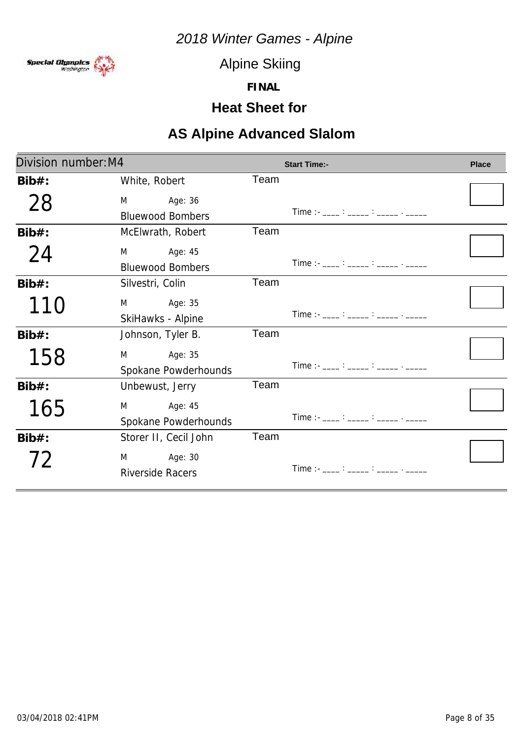

Alpine Skiing

**FINAL**

# **Heat Sheet for**

| Division number: M4 |                           |      | <b>Start Time:-</b>                                                                                                   | <b>Place</b> |
|---------------------|---------------------------|------|-----------------------------------------------------------------------------------------------------------------------|--------------|
| $Bib#$ :            | White, Robert             | Team |                                                                                                                       |              |
| 28                  | Age: 36<br>M              |      |                                                                                                                       |              |
|                     | <b>Bluewood Bombers</b>   |      | Time :- ____ : _____ : _____ . _____                                                                                  |              |
| $Bib#$ :            | McElwrath, Robert         | Team |                                                                                                                       |              |
| 24                  | Age: 45<br>M              |      |                                                                                                                       |              |
|                     | <b>Bluewood Bombers</b>   |      | Time :- ____ : _____ : _____ . _____                                                                                  |              |
| $Bib#$ :            | Silvestri, Colin          | Team |                                                                                                                       |              |
| 110                 | Age: 35<br>M              |      |                                                                                                                       |              |
|                     | SkiHawks - Alpine         |      | $Time: -$ : $\frac{1}{100}$ : $\frac{1}{100}$ : $\frac{1}{100}$ : $\frac{1}{100}$ : $\frac{1}{100}$ : $\frac{1}{100}$ |              |
| $Bib#$ :            | Johnson, Tyler B.         | Team |                                                                                                                       |              |
| 158                 | Age: 35<br>M              |      |                                                                                                                       |              |
|                     | Spokane Powderhounds      |      | Time :- ____ : _____ : _____ . _____                                                                                  |              |
| $Bib#$ :            | Unbewust, Jerry           | Team |                                                                                                                       |              |
| 165                 | Age: 45<br>M              |      |                                                                                                                       |              |
|                     | Spokane Powderhounds      |      | Time : - ____ : _____ : _____ . _____                                                                                 |              |
| $Bib#$ :            | Storer II, Cecil John     | Team |                                                                                                                       |              |
| 72                  | Age: 30<br>M <sub>2</sub> |      |                                                                                                                       |              |
|                     | <b>Riverside Racers</b>   |      | Time :- ____ : _____ : _____ : _____ . _____                                                                          |              |
|                     |                           |      |                                                                                                                       |              |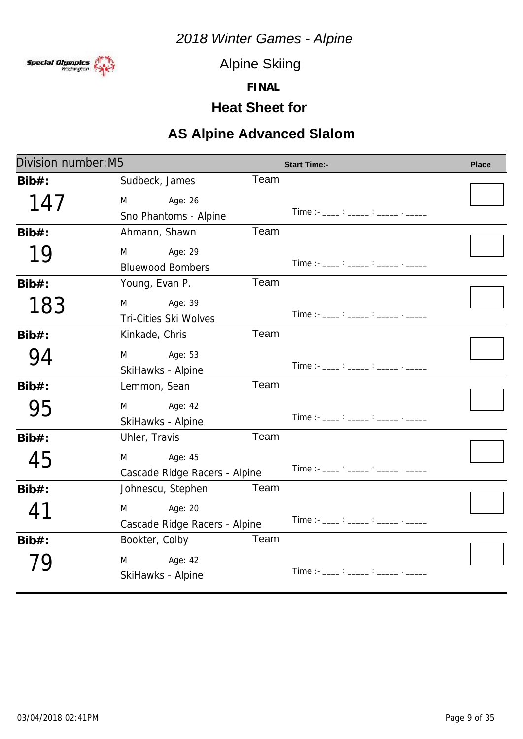

Alpine Skiing

**FINAL**

### **Heat Sheet for**

| Division number: M5 |                                               |      | <b>Start Time:-</b>                                                                                                                                                                                                                                                                                    | <b>Place</b> |
|---------------------|-----------------------------------------------|------|--------------------------------------------------------------------------------------------------------------------------------------------------------------------------------------------------------------------------------------------------------------------------------------------------------|--------------|
| $Bib#$ :            | Sudbeck, James                                | Team |                                                                                                                                                                                                                                                                                                        |              |
| 147                 | M<br>Age: 26<br>Sno Phantoms - Alpine         |      | $Time:  \frac{?}{?}$ $\frac{?}{?}$ $\frac{?}{?}$ $\frac{?}{?}$                                                                                                                                                                                                                                         |              |
| $Bib#$ :            | Ahmann, Shawn                                 | Team |                                                                                                                                                                                                                                                                                                        |              |
| 19                  | Age: 29<br>M<br><b>Bluewood Bombers</b>       |      | Time :- ____ : _____ : _____ . _____                                                                                                                                                                                                                                                                   |              |
| $Bib#$ :            | Young, Evan P.                                | Team |                                                                                                                                                                                                                                                                                                        |              |
| 183                 | Age: 39<br>M<br><b>Tri-Cities Ski Wolves</b>  |      | Time : - ____ : _____ : _____ . _____                                                                                                                                                                                                                                                                  |              |
| $Bib#$ :            | Kinkade, Chris                                | Team |                                                                                                                                                                                                                                                                                                        |              |
| 94                  | Age: 53<br>M<br>SkiHawks - Alpine             |      | $Time:  \frac{1}{2}$ : $\frac{1}{2}$ : $\frac{1}{2}$ : $\frac{1}{2}$ : $\frac{1}{2}$ : $\frac{1}{2}$ : $\frac{1}{2}$ : $\frac{1}{2}$ : $\frac{1}{2}$ : $\frac{1}{2}$ : $\frac{1}{2}$ : $\frac{1}{2}$ : $\frac{1}{2}$ : $\frac{1}{2}$ : $\frac{1}{2}$ : $\frac{1}{2}$ : $\frac{1}{2}$ : $\frac{1}{2}$ : |              |
| $Bib#$ :            | Lemmon, Sean                                  | Team |                                                                                                                                                                                                                                                                                                        |              |
| 95                  | Age: 42<br>M<br>SkiHawks - Alpine             |      | Time :- $\frac{1}{2}$ : $\frac{1}{2}$ : $\frac{1}{2}$ : $\frac{1}{2}$ : $\frac{1}{2}$ : $\frac{1}{2}$                                                                                                                                                                                                  |              |
| $Bib#$ :            | Uhler, Travis                                 | Team |                                                                                                                                                                                                                                                                                                        |              |
| 45                  | M<br>Age: 45<br>Cascade Ridge Racers - Alpine |      | Time :- ____ : _____ : _____ . _____                                                                                                                                                                                                                                                                   |              |
| $Bib#$ :            | Johnescu, Stephen                             | Team |                                                                                                                                                                                                                                                                                                        |              |
| $4^{\circ}$         | Age: 20<br>M<br>Cascade Ridge Racers - Alpine |      | Time :- ____ : _____ : _____ . _____                                                                                                                                                                                                                                                                   |              |
| $Bib#$ :            | Bookter, Colby                                | Team |                                                                                                                                                                                                                                                                                                        |              |
|                     | Age: 42<br>M<br>SkiHawks - Alpine             |      | $Time: -$ : $\frac{1}{100}$ : $\frac{1}{100}$ : $\frac{1}{100}$ : $\frac{1}{100}$ : $\frac{1}{100}$ : $\frac{1}{100}$                                                                                                                                                                                  |              |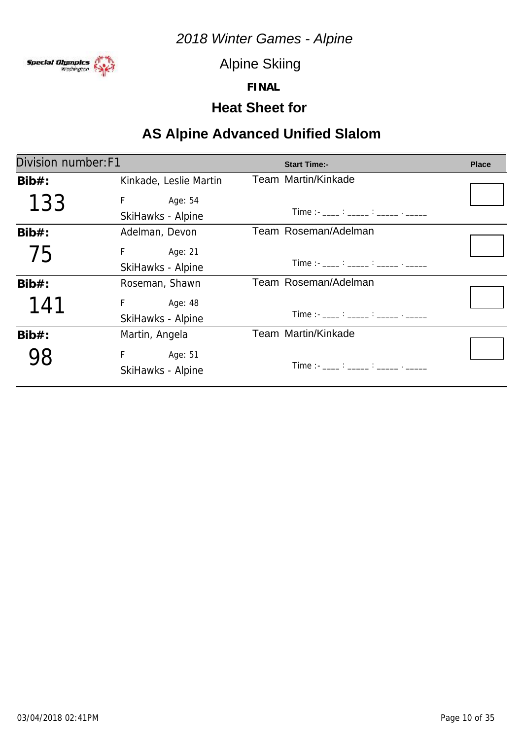

Alpine Skiing

**FINAL**

### **Heat Sheet for**

# **AS Alpine Advanced Unified Slalom**

| Division number: F1 |                           | <b>Start Time:-</b>                                                                                                                                                                                                                                                                                  | <b>Place</b> |
|---------------------|---------------------------|------------------------------------------------------------------------------------------------------------------------------------------------------------------------------------------------------------------------------------------------------------------------------------------------------|--------------|
| $Bib#$ :            | Kinkade, Leslie Martin    | Team Martin/Kinkade                                                                                                                                                                                                                                                                                  |              |
| 133                 | F.<br>Age: 54             |                                                                                                                                                                                                                                                                                                      |              |
|                     | SkiHawks - Alpine         | Time :- ____ : _____ : _____ . _____                                                                                                                                                                                                                                                                 |              |
| $Bib#$ :            | Adelman, Devon            | Team Roseman/Adelman                                                                                                                                                                                                                                                                                 |              |
| 75                  | F <sub>a</sub><br>Age: 21 |                                                                                                                                                                                                                                                                                                      |              |
|                     | SkiHawks - Alpine         | Time :- ____ : _____ : _____ : _____ . _____                                                                                                                                                                                                                                                         |              |
| $Bib#$ :            | Roseman, Shawn            | Team Roseman/Adelman                                                                                                                                                                                                                                                                                 |              |
| 141                 | F Age: 48                 |                                                                                                                                                                                                                                                                                                      |              |
|                     | SkiHawks - Alpine         | Time :- $\frac{1}{2}$ : $\frac{1}{2}$ : $\frac{1}{2}$ : $\frac{1}{2}$ : $\frac{1}{2}$ : $\frac{1}{2}$ : $\frac{1}{2}$                                                                                                                                                                                |              |
| $Bib#$ :            | Martin, Angela            | Team Martin/Kinkade                                                                                                                                                                                                                                                                                  |              |
|                     | F.<br>Age: 51             |                                                                                                                                                                                                                                                                                                      |              |
|                     | SkiHawks - Alpine         | Time : $\frac{1}{2}$ : $\frac{1}{2}$ : $\frac{1}{2}$ : $\frac{1}{2}$ : $\frac{1}{2}$ : $\frac{1}{2}$ : $\frac{1}{2}$ : $\frac{1}{2}$ : $\frac{1}{2}$ : $\frac{1}{2}$ : $\frac{1}{2}$ : $\frac{1}{2}$ : $\frac{1}{2}$ : $\frac{1}{2}$ : $\frac{1}{2}$ : $\frac{1}{2}$ : $\frac{1}{2}$ : $\frac{1}{2}$ |              |
|                     |                           |                                                                                                                                                                                                                                                                                                      |              |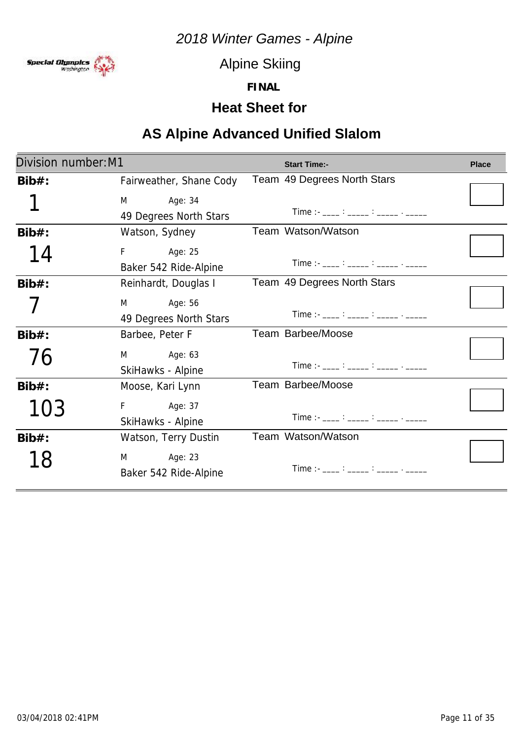

Alpine Skiing

**FINAL**

### **Heat Sheet for**

### **AS Alpine Advanced Unified Slalom**

| Division number: M1 |                         | <b>Start Time:-</b>                                                                                   | <b>Place</b> |
|---------------------|-------------------------|-------------------------------------------------------------------------------------------------------|--------------|
| $Bib#$ :            | Fairweather, Shane Cody | Team 49 Degrees North Stars                                                                           |              |
|                     | M Age: 34               |                                                                                                       |              |
|                     | 49 Degrees North Stars  | Time :- ____ : _____ : _____ . _____                                                                  |              |
| $Bib#$ :            | Watson, Sydney          | Team Watson/Watson                                                                                    |              |
| 14                  | F Age: 25               |                                                                                                       |              |
|                     | Baker 542 Ride-Alpine   | $Time:  \frac{?}{?}$ $\frac{?}{?}$ $\frac{?}{?}$ $\frac{?}{?}$ $\frac{?}{?}$                          |              |
| $Bib#$ :            | Reinhardt, Douglas I    | Team 49 Degrees North Stars                                                                           |              |
|                     | M Age: 56               |                                                                                                       |              |
|                     | 49 Degrees North Stars  | Time :- ____ : _____ : _____ . _____                                                                  |              |
| $Bib#$ :            | Barbee, Peter F         | Team Barbee/Moose                                                                                     |              |
| 76                  | M Age: 63               |                                                                                                       |              |
|                     | SkiHawks - Alpine       | Time :- ____ : _____ : _____ : ______ . _____                                                         |              |
| $Bib#$ :            | Moose, Kari Lynn        | Team Barbee/Moose                                                                                     |              |
| 103                 | F Age: 37               |                                                                                                       |              |
|                     | SkiHawks - Alpine       | Time :- $\frac{1}{2}$ : $\frac{1}{2}$ : $\frac{1}{2}$ : $\frac{1}{2}$ : $\frac{1}{2}$ : $\frac{1}{2}$ |              |
| $Bib#$ :            | Watson, Terry Dustin    | Team Watson/Watson                                                                                    |              |
| 18                  | M Age: 23               |                                                                                                       |              |
|                     | Baker 542 Ride-Alpine   | Time :- ___ : ____ : _____ : _____ . _____                                                            |              |
|                     |                         |                                                                                                       |              |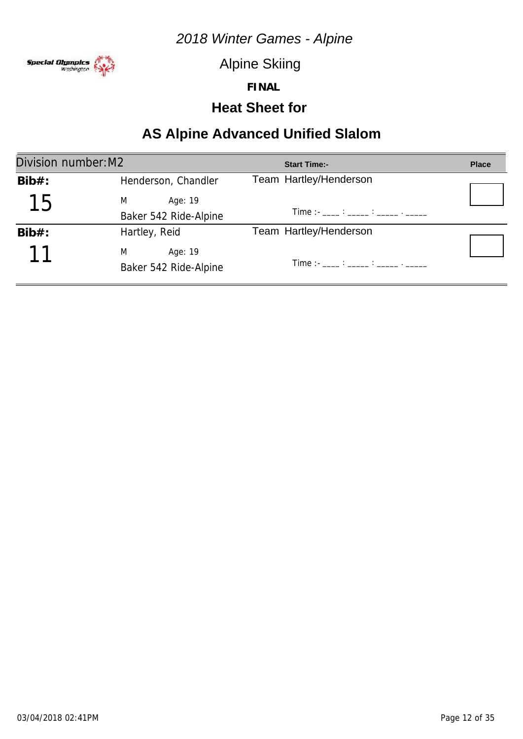

Alpine Skiing

**FINAL**

### **Heat Sheet for**

### **AS Alpine Advanced Unified Slalom**

| Division number: M2 |                                       | <b>Start Time:-</b>                                                                                                                                                                                                                                                                                  | <b>Place</b> |
|---------------------|---------------------------------------|------------------------------------------------------------------------------------------------------------------------------------------------------------------------------------------------------------------------------------------------------------------------------------------------------|--------------|
| $Bib#$ :            | Henderson, Chandler                   | Team Hartley/Henderson                                                                                                                                                                                                                                                                               |              |
| 15                  | M<br>Age: 19                          |                                                                                                                                                                                                                                                                                                      |              |
|                     | Baker 542 Ride-Alpine                 | Time : $\frac{1}{2}$ : $\frac{1}{2}$ : $\frac{1}{2}$ : $\frac{1}{2}$ : $\frac{1}{2}$ : $\frac{1}{2}$ : $\frac{1}{2}$ : $\frac{1}{2}$ : $\frac{1}{2}$ : $\frac{1}{2}$ : $\frac{1}{2}$ : $\frac{1}{2}$ : $\frac{1}{2}$ : $\frac{1}{2}$ : $\frac{1}{2}$ : $\frac{1}{2}$ : $\frac{1}{2}$ : $\frac{1}{2}$ |              |
| $Bib#$ :            | Hartley, Reid                         | Team Hartley/Henderson                                                                                                                                                                                                                                                                               |              |
|                     | M<br>Age: 19<br>Baker 542 Ride-Alpine | Time :- ____ : _____ : _____ : _____ . _____                                                                                                                                                                                                                                                         |              |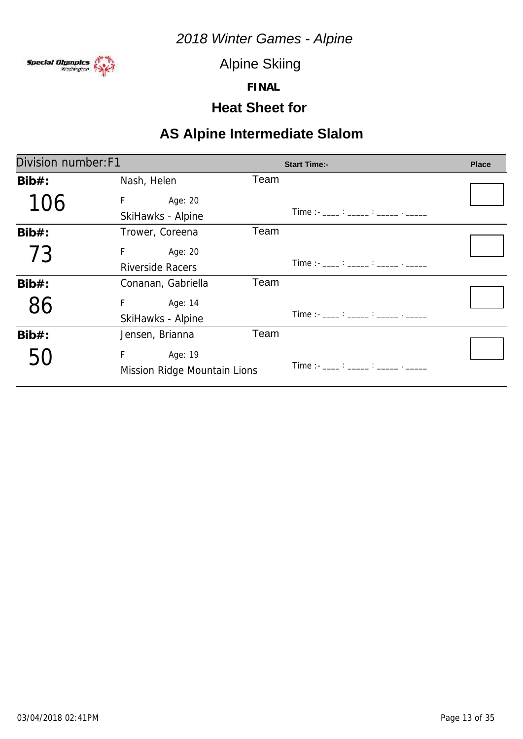

Alpine Skiing

**FINAL**

### **Heat Sheet for**

| Division number: F1 |                              |      | <b>Start Time:-</b>                                                                                                                                                                                                               | <b>Place</b> |
|---------------------|------------------------------|------|-----------------------------------------------------------------------------------------------------------------------------------------------------------------------------------------------------------------------------------|--------------|
| $Bib#$ :            | Nash, Helen                  | Team |                                                                                                                                                                                                                                   |              |
| 106                 | F<br>Age: 20                 |      |                                                                                                                                                                                                                                   |              |
|                     | SkiHawks - Alpine            |      | Time :- ____ : _____ : _____ . _____                                                                                                                                                                                              |              |
| $Bib#$ :            | Trower, Coreena              | Team |                                                                                                                                                                                                                                   |              |
| 73                  | F.<br>Age: 20                |      |                                                                                                                                                                                                                                   |              |
|                     | <b>Riverside Racers</b>      |      | Time :- ____ : _____ : _____ . _____                                                                                                                                                                                              |              |
| $Bib#$ :            | Conanan, Gabriella           | Team |                                                                                                                                                                                                                                   |              |
| 86                  | F.<br>Age: 14                |      |                                                                                                                                                                                                                                   |              |
|                     | SkiHawks - Alpine            |      | $Time: 11.22: 12.22: 12.22: 12.22: 12.22: 12.22: 12.22: 12.22: 12.22: 12.22: 12.22: 12.22: 12.22: 12.22: 12.22: 12.22: 12.22: 12.22: 12.22: 12.22: 12.22: 12.22: 12.22: 12.22: 12.22: 12.22: 12.22: 12.22: 12.22: 12.22: 12.22: $ |              |
| $Bib#$ :            | Jensen, Brianna              | Team |                                                                                                                                                                                                                                   |              |
|                     | F<br>Age: 19                 |      |                                                                                                                                                                                                                                   |              |
|                     | Mission Ridge Mountain Lions |      | Time :- ____ : _____ : _____ . _____                                                                                                                                                                                              |              |
|                     |                              |      |                                                                                                                                                                                                                                   |              |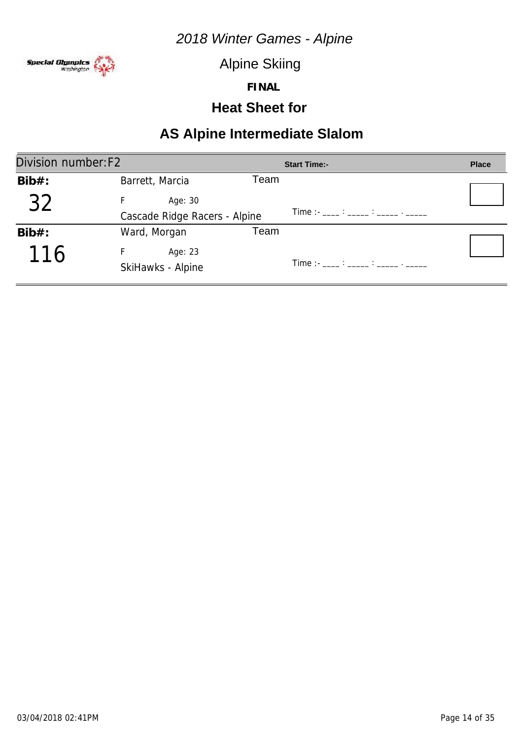

Alpine Skiing

**FINAL**

#### **Heat Sheet for**

| Division number: F2 |                                               |      | <b>Start Time:-</b>                                                                                                                                                                                                               | <b>Place</b> |
|---------------------|-----------------------------------------------|------|-----------------------------------------------------------------------------------------------------------------------------------------------------------------------------------------------------------------------------------|--------------|
| $Bib#$ :            | Barrett, Marcia                               | Team |                                                                                                                                                                                                                                   |              |
| 32                  | Age: 30                                       |      | $Time: 11.22: 12.22: 12.22: 12.22: 12.22: 12.22: 12.22: 12.22: 12.22: 12.22: 12.22: 12.22: 12.22: 12.22: 12.22: 12.22: 12.22: 12.22: 12.22: 12.22: 12.22: 12.22: 12.22: 12.22: 12.22: 12.22: 12.22: 12.22: 12.22: 12.22: 12.22: $ |              |
| $Bib#$ :            | Cascade Ridge Racers - Alpine<br>Ward, Morgan | Team |                                                                                                                                                                                                                                   |              |
| 116                 | Age: 23<br>SkiHawks - Alpine                  |      |                                                                                                                                                                                                                                   |              |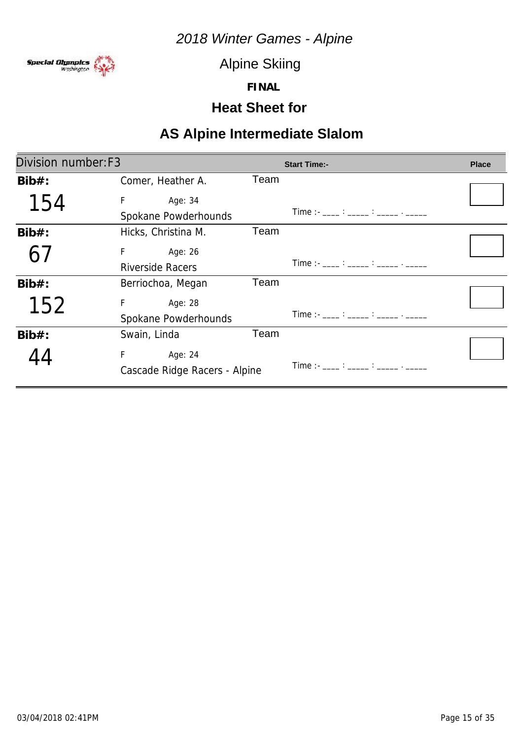

Alpine Skiing

**FINAL**

#### **Heat Sheet for**

| Division number: F3 |                               |      | <b>Start Time:-</b>                   | <b>Place</b> |
|---------------------|-------------------------------|------|---------------------------------------|--------------|
| $Bib#$ :            | Comer, Heather A.             | Team |                                       |              |
| 154                 | F<br>Age: 34                  |      |                                       |              |
|                     | Spokane Powderhounds          |      | Time :- ____ : _____ : _____ . _____  |              |
| $Bib#$ :            | Hicks, Christina M.           | Team |                                       |              |
|                     | F.<br>Age: 26                 |      |                                       |              |
|                     | <b>Riverside Racers</b>       |      | Time :- ____ : _____ : _____ . _____  |              |
| $Bib#$ :            | Berriochoa, Megan             | Team |                                       |              |
| 152                 | F.<br>Age: 28                 |      |                                       |              |
|                     | Spokane Powderhounds          |      | Time : - ____ : _____ : _____ . _____ |              |
| $Bib#$ :            | Swain, Linda                  | Team |                                       |              |
|                     | F<br>Age: 24                  |      |                                       |              |
|                     | Cascade Ridge Racers - Alpine |      | Time :- ____ : _____ : _____ . _____  |              |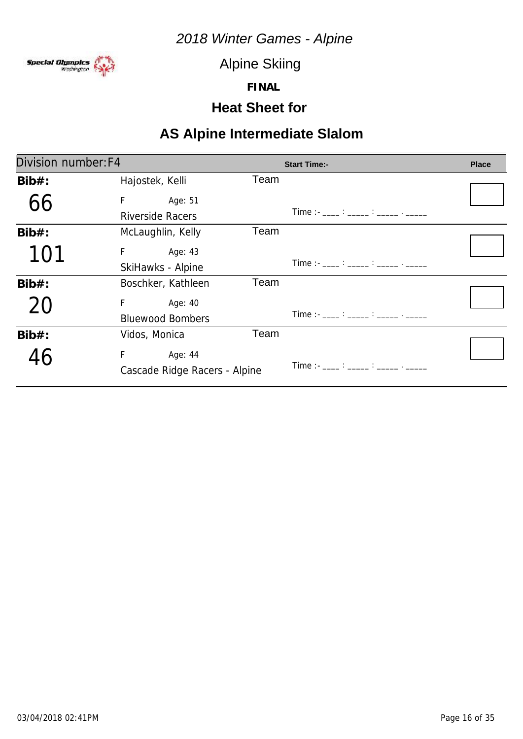

Alpine Skiing

**FINAL**

#### **Heat Sheet for**

| Division number: F4 |                               |      | <b>Start Time:-</b>                  | <b>Place</b> |
|---------------------|-------------------------------|------|--------------------------------------|--------------|
| $Bib#$ :            | Hajostek, Kelli               | Team |                                      |              |
| 66                  | F.<br>Age: 51                 |      |                                      |              |
|                     | Riverside Racers              |      | Time :- ____ : _____ : _____ . _____ |              |
| $Bib#$ :            | McLaughlin, Kelly             | Team |                                      |              |
| 101                 | F<br>Age: 43                  |      |                                      |              |
|                     | SkiHawks - Alpine             |      | Time :- ____ : _____ : _____ . _____ |              |
| $Bib#$ :            | Boschker, Kathleen            | Team |                                      |              |
| 20                  | F <sub>a</sub><br>Age: 40     |      |                                      |              |
|                     | <b>Bluewood Bombers</b>       |      | Time :- ____ : _____ : _____ . _____ |              |
| $Bib#$ :            | Vidos, Monica                 | Team |                                      |              |
|                     | F.<br>Age: 44                 |      |                                      |              |
|                     | Cascade Ridge Racers - Alpine |      | Time :- ____ : _____ : _____ . _____ |              |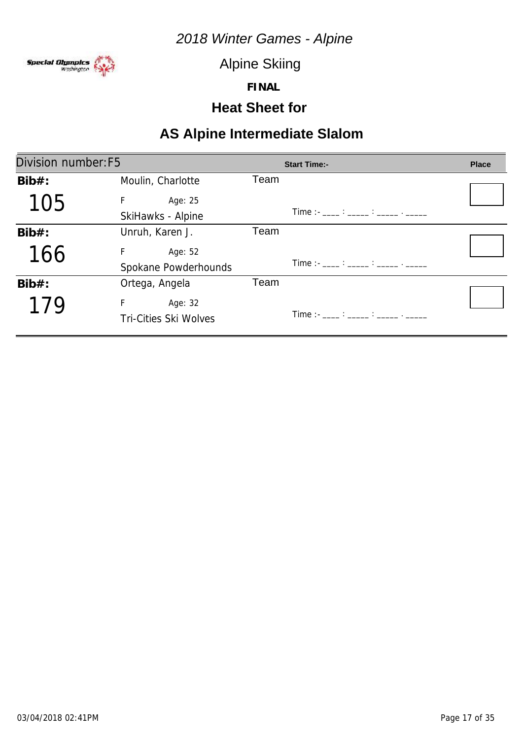

Alpine Skiing

**FINAL**

### **Heat Sheet for**

| Division number: F5 |                              | <b>Start Time:-</b>                                                                                                                                                                                                                                                                                    | <b>Place</b> |
|---------------------|------------------------------|--------------------------------------------------------------------------------------------------------------------------------------------------------------------------------------------------------------------------------------------------------------------------------------------------------|--------------|
| $Bib#$ :            | Moulin, Charlotte            | Team                                                                                                                                                                                                                                                                                                   |              |
| 105                 | F.<br>Age: 25                |                                                                                                                                                                                                                                                                                                        |              |
|                     | SkiHawks - Alpine            | $Time:  \frac{1}{2}$ : $\frac{1}{2}$ : $\frac{1}{2}$ : $\frac{1}{2}$ : $\frac{1}{2}$ : $\frac{1}{2}$ : $\frac{1}{2}$ : $\frac{1}{2}$ : $\frac{1}{2}$ : $\frac{1}{2}$ : $\frac{1}{2}$ : $\frac{1}{2}$ : $\frac{1}{2}$ : $\frac{1}{2}$ : $\frac{1}{2}$ : $\frac{1}{2}$ : $\frac{1}{2}$ : $\frac{1}{2}$ : |              |
| $Bib#$ :            | Unruh, Karen J.              | Team                                                                                                                                                                                                                                                                                                   |              |
| 166                 | F<br>Age: 52                 |                                                                                                                                                                                                                                                                                                        |              |
|                     | Spokane Powderhounds         | Time :- ___ : ____ : _____ : _____ . _____                                                                                                                                                                                                                                                             |              |
| $Bib#$ :            | Ortega, Angela               | Team                                                                                                                                                                                                                                                                                                   |              |
| 179                 | F<br>Age: 32                 |                                                                                                                                                                                                                                                                                                        |              |
|                     | <b>Tri-Cities Ski Wolves</b> | Time :- ____ : _____ : _____ . _____                                                                                                                                                                                                                                                                   |              |
|                     |                              |                                                                                                                                                                                                                                                                                                        |              |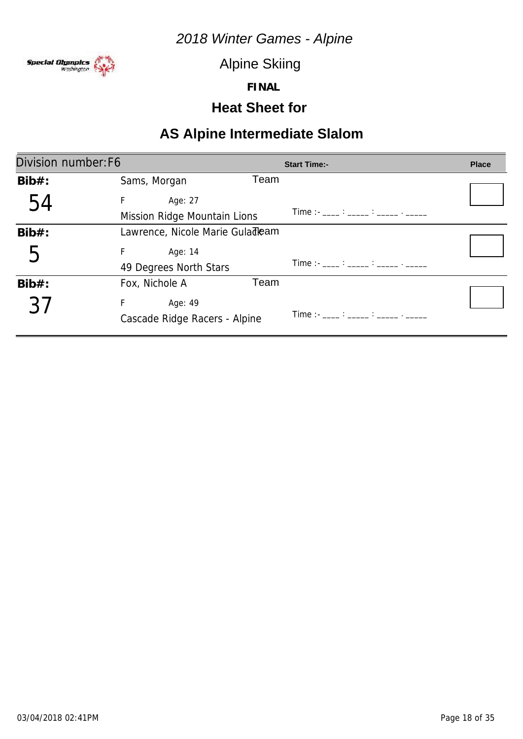

Alpine Skiing

**FINAL**

#### **Heat Sheet for**

| Division number: F6 |                                               | <b>Start Time:-</b>                           | <b>Place</b> |
|---------------------|-----------------------------------------------|-----------------------------------------------|--------------|
| $Bib#$ :            | Team<br>Sams, Morgan                          |                                               |              |
| 54                  | F<br>Age: 27<br>Mission Ridge Mountain Lions  | Time :- ____ : _____ : _____ . _____          |              |
| $Bib#$ :            | Lawrence, Nicole Marie Guladleam              |                                               |              |
| b                   | Age: 14<br>F<br>49 Degrees North Stars        | Time :- ____ : _____ : _____ : ______ . _____ |              |
| $Bib#$ :            | Team<br>Fox, Nichole A                        |                                               |              |
| -27                 | F<br>Age: 49<br>Cascade Ridge Racers - Alpine | Time : - ____ : _____ : _____ . _____         |              |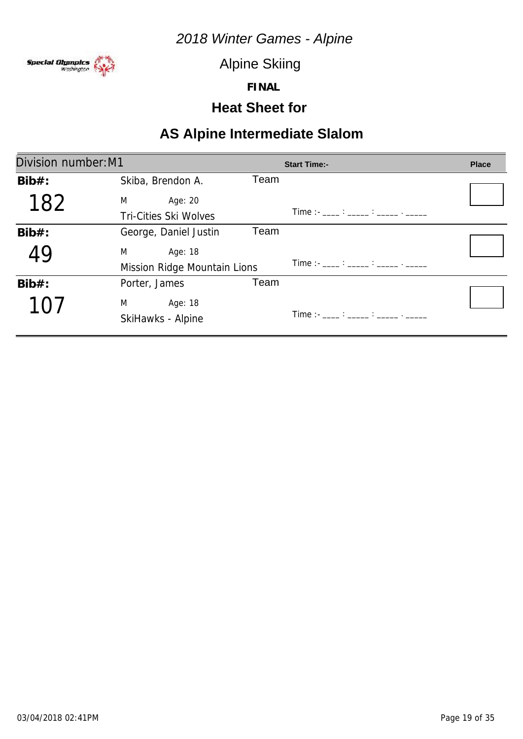

Alpine Skiing

**FINAL**

#### **Heat Sheet for**

| Division number: M1 |                              | <b>Start Time:-</b>                  | <b>Place</b> |
|---------------------|------------------------------|--------------------------------------|--------------|
| $Bib#$ :            | Skiba, Brendon A.            | Team                                 |              |
| 182                 | M<br>Age: 20                 |                                      |              |
|                     | <b>Tri-Cities Ski Wolves</b> | Time :- ____ : _____ : _____ . _____ |              |
| $Bib#$ :            | George, Daniel Justin        | Team                                 |              |
| 49                  | M<br>Age: 18                 |                                      |              |
|                     | Mission Ridge Mountain Lions | Time :- ____ : _____ : _____ . _____ |              |
| $Bib#$ :            | Porter, James                | Team                                 |              |
| 7()                 | M<br>Age: 18                 |                                      |              |
|                     | SkiHawks - Alpine            | Time :- ____ : _____ : _____ . _____ |              |
|                     |                              |                                      |              |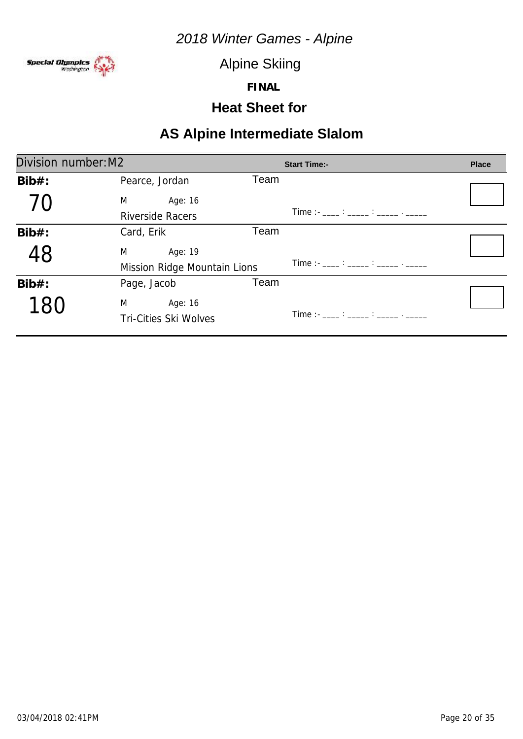

Alpine Skiing

**FINAL**

#### **Heat Sheet for**

| Division number: M2 |                              | <b>Start Time:-</b>                                                                                                                                                                                                                                                                                    | <b>Place</b> |
|---------------------|------------------------------|--------------------------------------------------------------------------------------------------------------------------------------------------------------------------------------------------------------------------------------------------------------------------------------------------------|--------------|
| $Bib#$ :            | Pearce, Jordan               | Team                                                                                                                                                                                                                                                                                                   |              |
|                     | M<br>Age: 16                 |                                                                                                                                                                                                                                                                                                        |              |
|                     | <b>Riverside Racers</b>      | $Time:  \frac{1}{2}$ : $\frac{1}{2}$ : $\frac{1}{2}$ : $\frac{1}{2}$ : $\frac{1}{2}$ : $\frac{1}{2}$ : $\frac{1}{2}$ : $\frac{1}{2}$ : $\frac{1}{2}$ : $\frac{1}{2}$ : $\frac{1}{2}$ : $\frac{1}{2}$ : $\frac{1}{2}$ : $\frac{1}{2}$ : $\frac{1}{2}$ : $\frac{1}{2}$ : $\frac{1}{2}$ : $\frac{1}{2}$ : |              |
| $Bib#$ :            | Card, Erik                   | Team                                                                                                                                                                                                                                                                                                   |              |
| 48                  | M<br>Age: 19                 |                                                                                                                                                                                                                                                                                                        |              |
|                     | Mission Ridge Mountain Lions | Time :- ____ : _____ : _____ . _____                                                                                                                                                                                                                                                                   |              |
| $Bib#$ :            | Page, Jacob                  | Team                                                                                                                                                                                                                                                                                                   |              |
|                     | M<br>Age: 16                 |                                                                                                                                                                                                                                                                                                        |              |
|                     | <b>Tri-Cities Ski Wolves</b> |                                                                                                                                                                                                                                                                                                        |              |
|                     |                              |                                                                                                                                                                                                                                                                                                        |              |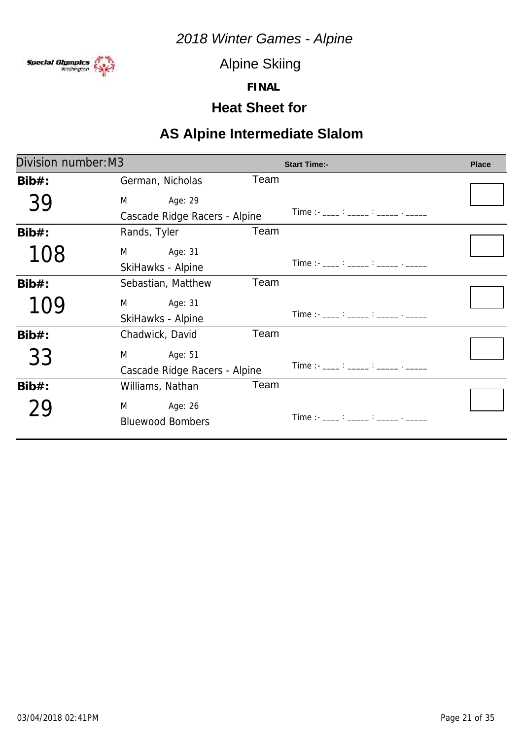

Alpine Skiing

**FINAL**

### **Heat Sheet for**

| Division number: M3 |                               |      | <b>Start Time:-</b>                                                                                                                                                                                                                                                                                    | <b>Place</b> |
|---------------------|-------------------------------|------|--------------------------------------------------------------------------------------------------------------------------------------------------------------------------------------------------------------------------------------------------------------------------------------------------------|--------------|
| $Bib#$ :            | German, Nicholas              | Team |                                                                                                                                                                                                                                                                                                        |              |
| 39                  | M<br>Age: 29                  |      |                                                                                                                                                                                                                                                                                                        |              |
|                     | Cascade Ridge Racers - Alpine |      | Time :- ____ : _____ : _____ . _____                                                                                                                                                                                                                                                                   |              |
| $Bib#$ :            | Rands, Tyler                  | Team |                                                                                                                                                                                                                                                                                                        |              |
| 108                 | M<br>Age: 31                  |      |                                                                                                                                                                                                                                                                                                        |              |
|                     | SkiHawks - Alpine             |      | $Time:  \frac{1}{2}$ : $\frac{1}{2}$ : $\frac{1}{2}$ : $\frac{1}{2}$ : $\frac{1}{2}$ : $\frac{1}{2}$ : $\frac{1}{2}$ : $\frac{1}{2}$ : $\frac{1}{2}$ : $\frac{1}{2}$ : $\frac{1}{2}$ : $\frac{1}{2}$ : $\frac{1}{2}$ : $\frac{1}{2}$ : $\frac{1}{2}$ : $\frac{1}{2}$ : $\frac{1}{2}$ : $\frac{1}{2}$ : |              |
| $Bib#$ :            | Sebastian, Matthew            | Team |                                                                                                                                                                                                                                                                                                        |              |
| 109                 | M<br>Age: 31                  |      |                                                                                                                                                                                                                                                                                                        |              |
|                     | SkiHawks - Alpine             |      | $Time:  \frac{?}{?}$ $\frac{?}{?}$ $\frac{?}{?}$ $\frac{?}{?}$                                                                                                                                                                                                                                         |              |
| $Bib#$ :            | Chadwick, David               | Team |                                                                                                                                                                                                                                                                                                        |              |
| 33                  | M<br>Age: 51                  |      |                                                                                                                                                                                                                                                                                                        |              |
|                     | Cascade Ridge Racers - Alpine |      | $Time:  \frac{1}{2}$ : $\frac{1}{2}$ : $\frac{1}{2}$ : $\frac{1}{2}$ : $\frac{1}{2}$ : $\frac{1}{2}$ : $\frac{1}{2}$ : $\frac{1}{2}$ : $\frac{1}{2}$ : $\frac{1}{2}$ : $\frac{1}{2}$ : $\frac{1}{2}$ : $\frac{1}{2}$ : $\frac{1}{2}$ : $\frac{1}{2}$ : $\frac{1}{2}$ : $\frac{1}{2}$ : $\frac{1}{2}$ : |              |
| $Bib#$ :            | Williams, Nathan              | Team |                                                                                                                                                                                                                                                                                                        |              |
|                     | M <sub>2</sub><br>Age: 26     |      |                                                                                                                                                                                                                                                                                                        |              |
|                     | <b>Bluewood Bombers</b>       |      | $Time:$ $\qquad \qquad :$ $\qquad \qquad$                                                                                                                                                                                                                                                              |              |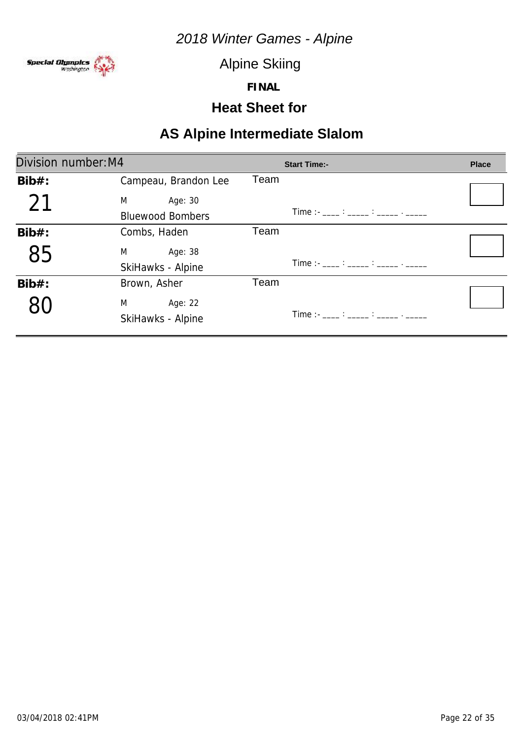

Alpine Skiing

**FINAL**

### **Heat Sheet for**

| Division number: M4 |                         | <b>Start Time:-</b>                                                                                                                                                                                                                                                                                    | <b>Place</b> |
|---------------------|-------------------------|--------------------------------------------------------------------------------------------------------------------------------------------------------------------------------------------------------------------------------------------------------------------------------------------------------|--------------|
| $Bib#$ :            | Campeau, Brandon Lee    | Team                                                                                                                                                                                                                                                                                                   |              |
| 21                  | M<br>Age: 30            |                                                                                                                                                                                                                                                                                                        |              |
|                     | <b>Bluewood Bombers</b> | $Time:  \frac{1}{2}$ : $\frac{1}{2}$ : $\frac{1}{2}$ : $\frac{1}{2}$ : $\frac{1}{2}$ : $\frac{1}{2}$ : $\frac{1}{2}$ : $\frac{1}{2}$ : $\frac{1}{2}$ : $\frac{1}{2}$ : $\frac{1}{2}$ : $\frac{1}{2}$ : $\frac{1}{2}$ : $\frac{1}{2}$ : $\frac{1}{2}$ : $\frac{1}{2}$ : $\frac{1}{2}$ : $\frac{1}{2}$ : |              |
| $Bib#$ :            | Combs, Haden            | Team                                                                                                                                                                                                                                                                                                   |              |
| 85                  | M<br>Age: 38            |                                                                                                                                                                                                                                                                                                        |              |
|                     | SkiHawks - Alpine       | $Time:  \frac{1}{2}$ : $\frac{1}{2}$ : $\frac{1}{2}$ : $\frac{1}{2}$ : $\frac{1}{2}$ : $\frac{1}{2}$ : $\frac{1}{2}$ : $\frac{1}{2}$ : $\frac{1}{2}$ : $\frac{1}{2}$ : $\frac{1}{2}$ : $\frac{1}{2}$ : $\frac{1}{2}$ : $\frac{1}{2}$ : $\frac{1}{2}$ : $\frac{1}{2}$ : $\frac{1}{2}$ : $\frac{1}{2}$ : |              |
| $Bib#$ :            | Brown, Asher            | Team                                                                                                                                                                                                                                                                                                   |              |
|                     | M<br>Age: 22            |                                                                                                                                                                                                                                                                                                        |              |
|                     | SkiHawks - Alpine       |                                                                                                                                                                                                                                                                                                        |              |
|                     |                         |                                                                                                                                                                                                                                                                                                        |              |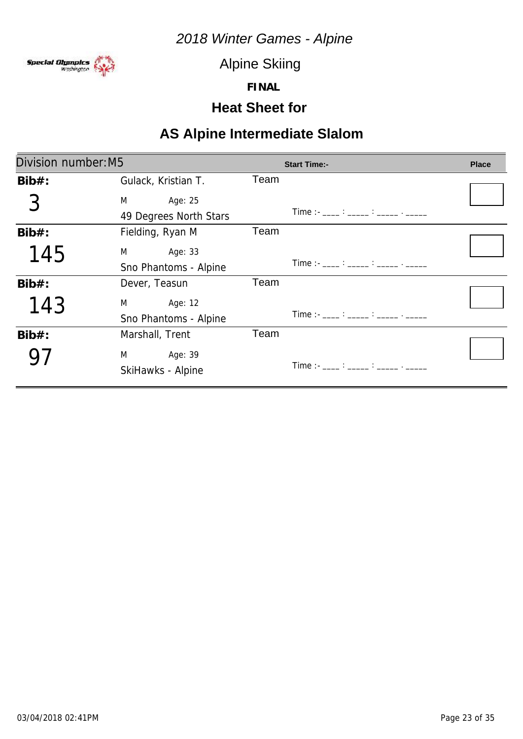

Alpine Skiing

**FINAL**

### **Heat Sheet for**

| Division number: M5 |                            |      | <b>Start Time:-</b>                                                                                   | <b>Place</b> |
|---------------------|----------------------------|------|-------------------------------------------------------------------------------------------------------|--------------|
| $Bib#$ :            | Gulack, Kristian T.        | Team |                                                                                                       |              |
|                     | M <sub>ar</sub><br>Age: 25 |      |                                                                                                       |              |
|                     | 49 Degrees North Stars     |      | Time :- ____ : _____ : _____ . _____                                                                  |              |
| $Bib#$ :            | Fielding, Ryan M           | Team |                                                                                                       |              |
| 145                 | Age: 33<br>M               |      |                                                                                                       |              |
|                     | Sno Phantoms - Alpine      |      | Time :- $\frac{1}{2}$ : $\frac{1}{2}$ : $\frac{1}{2}$ : $\frac{1}{2}$ : $\frac{1}{2}$ : $\frac{1}{2}$ |              |
| $Bib#$ :            | Dever, Teasun              | Team |                                                                                                       |              |
| 143                 | M <sub>ar</sub><br>Age: 12 |      |                                                                                                       |              |
|                     | Sno Phantoms - Alpine      |      | Time :- ____ : _____ : _____ . _____                                                                  |              |
| $Bib#$ :            | Marshall, Trent            | Team |                                                                                                       |              |
|                     | M<br>Age: 39               |      |                                                                                                       |              |
|                     | SkiHawks - Alpine          |      | Time :- ___ : ____ : _____ : _____ . _____                                                            |              |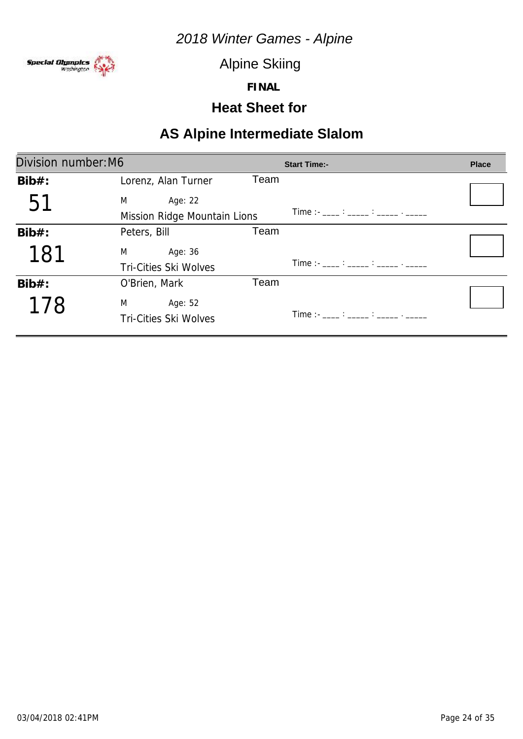

Alpine Skiing

**FINAL**

#### **Heat Sheet for**

| Division number: M6 |                                              |      | <b>Start Time:-</b> | <b>Place</b> |
|---------------------|----------------------------------------------|------|---------------------|--------------|
| $Bib#$ :            | Lorenz, Alan Turner                          | Team |                     |              |
| 51                  | M<br>Age: 22<br>Mission Ridge Mountain Lions |      |                     |              |
| $Bib#$ :            | Peters, Bill                                 | Team |                     |              |
| 181                 | M<br>Age: 36<br><b>Tri-Cities Ski Wolves</b> |      |                     |              |
| $Bib#$ :            | O'Brien, Mark                                | Team |                     |              |
| 178                 | M<br>Age: 52<br><b>Tri-Cities Ski Wolves</b> |      |                     |              |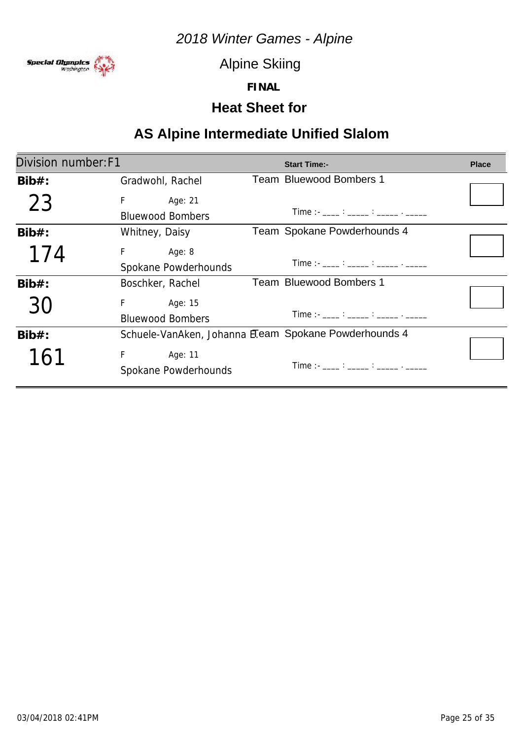

Alpine Skiing

**FINAL**

### **Heat Sheet for**

# **AS Alpine Intermediate Unified Slalom**

| Division number: F1 |                                                   | <b>Start Time:-</b>                                                                                                                                                                                                                                                                                    | <b>Place</b> |
|---------------------|---------------------------------------------------|--------------------------------------------------------------------------------------------------------------------------------------------------------------------------------------------------------------------------------------------------------------------------------------------------------|--------------|
| $Bib#$ :            | Gradwohl, Rachel                                  | <b>Team Bluewood Bombers 1</b>                                                                                                                                                                                                                                                                         |              |
| 23                  | F.<br>Age: 21<br><b>Bluewood Bombers</b>          | $Time:  \frac{1}{2}$ : $\frac{1}{2}$ : $\frac{1}{2}$ : $\frac{1}{2}$ : $\frac{1}{2}$ : $\frac{1}{2}$ : $\frac{1}{2}$ : $\frac{1}{2}$ : $\frac{1}{2}$ : $\frac{1}{2}$ : $\frac{1}{2}$ : $\frac{1}{2}$ : $\frac{1}{2}$ : $\frac{1}{2}$ : $\frac{1}{2}$ : $\frac{1}{2}$ : $\frac{1}{2}$ : $\frac{1}{2}$ : |              |
| $Bib#$ :            | Whitney, Daisy                                    | Team Spokane Powderhounds 4                                                                                                                                                                                                                                                                            |              |
| 174                 | Fig. 1997<br>Age: 8<br>Spokane Powderhounds       | $Time:  \frac{1}{2}$ : $\frac{1}{2}$ : $\frac{1}{2}$ : $\frac{1}{2}$ : $\frac{1}{2}$ : $\frac{1}{2}$ : $\frac{1}{2}$ : $\frac{1}{2}$ : $\frac{1}{2}$ : $\frac{1}{2}$ : $\frac{1}{2}$ : $\frac{1}{2}$ : $\frac{1}{2}$ : $\frac{1}{2}$ : $\frac{1}{2}$ : $\frac{1}{2}$ : $\frac{1}{2}$ : $\frac{1}{2}$ : |              |
| $Bib#$ :            | Boschker, Rachel                                  | Team Bluewood Bombers 1                                                                                                                                                                                                                                                                                |              |
| 30                  | F Age: 15<br><b>Bluewood Bombers</b>              | $Time:  \frac{1}{2}$ : $\frac{1}{2}$ : $\frac{1}{2}$ : $\frac{1}{2}$ : $\frac{1}{2}$ : $\frac{1}{2}$ : $\frac{1}{2}$ : $\frac{1}{2}$ : $\frac{1}{2}$ : $\frac{1}{2}$ : $\frac{1}{2}$ : $\frac{1}{2}$ : $\frac{1}{2}$ : $\frac{1}{2}$ : $\frac{1}{2}$ : $\frac{1}{2}$ : $\frac{1}{2}$ : $\frac{1}{2}$ : |              |
| $Bib#$ :            |                                                   | Schuele-VanAken, Johanna E.eam Spokane Powderhounds 4                                                                                                                                                                                                                                                  |              |
| 161                 | F <sub>a</sub><br>Age: 11<br>Spokane Powderhounds | Time : - ____ : _____ : _____ . _____                                                                                                                                                                                                                                                                  |              |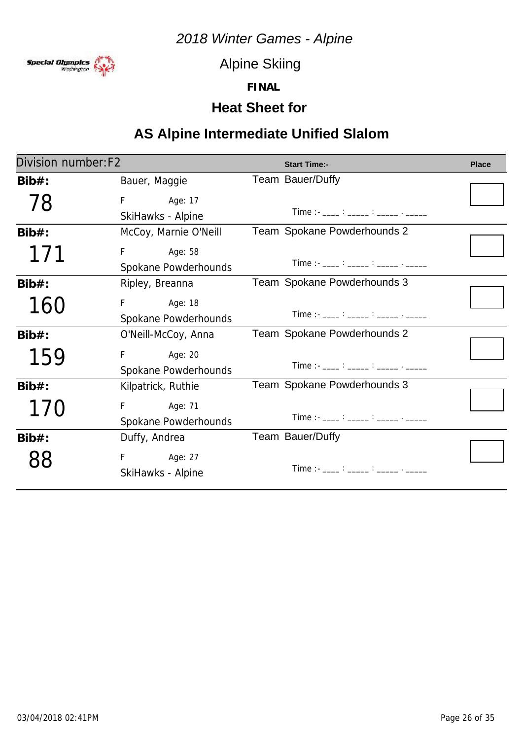

Alpine Skiing

**FINAL**

### **Heat Sheet for**

# **AS Alpine Intermediate Unified Slalom**

| Division number: F2 |                       | <b>Start Time:-</b>                                                                                   | <b>Place</b> |
|---------------------|-----------------------|-------------------------------------------------------------------------------------------------------|--------------|
| $Bib#$ :            | Bauer, Maggie         | Team Bauer/Duffy                                                                                      |              |
| 78                  | F.<br>Age: 17         |                                                                                                       |              |
|                     | SkiHawks - Alpine     | $Time:  \frac{?}{?}$ $\frac{?}{?}$ $\frac{?}{?}$ $\frac{?}{?}$ $\frac{?}{?}$                          |              |
| $Bib#$ :            | McCoy, Marnie O'Neill | Team Spokane Powderhounds 2                                                                           |              |
| 171                 | F<br>Age: 58          |                                                                                                       |              |
|                     | Spokane Powderhounds  |                                                                                                       |              |
| $Bib#$ :            | Ripley, Breanna       | Team Spokane Powderhounds 3                                                                           |              |
| 160                 | F Age: 18             |                                                                                                       |              |
|                     | Spokane Powderhounds  | Time :- ____ : _____ : _____ : _____                                                                  |              |
| $Bib#$ :            | O'Neill-McCoy, Anna   | Team Spokane Powderhounds 2                                                                           |              |
| 159                 | F<br>Age: 20          |                                                                                                       |              |
|                     | Spokane Powderhounds  | Time :- $\frac{1}{2}$ : $\frac{1}{2}$ : $\frac{1}{2}$ : $\frac{1}{2}$ : $\frac{1}{2}$ : $\frac{1}{2}$ |              |
| $Bib#$ :            | Kilpatrick, Ruthie    | Team Spokane Powderhounds 3                                                                           |              |
| 1/0                 | F.<br>Age: 71         |                                                                                                       |              |
|                     | Spokane Powderhounds  | Time :- $\frac{1}{2}$ : $\frac{1}{2}$ : $\frac{1}{2}$ : $\frac{1}{2}$ : $\frac{1}{2}$ : $\frac{1}{2}$ |              |
| $Bib#$ :            | Duffy, Andrea         | Team Bauer/Duffy                                                                                      |              |
|                     | F Age: 27             |                                                                                                       |              |
|                     | SkiHawks - Alpine     | Time :- ___ : ____ : ____ : _____ . _____                                                             |              |
|                     |                       |                                                                                                       |              |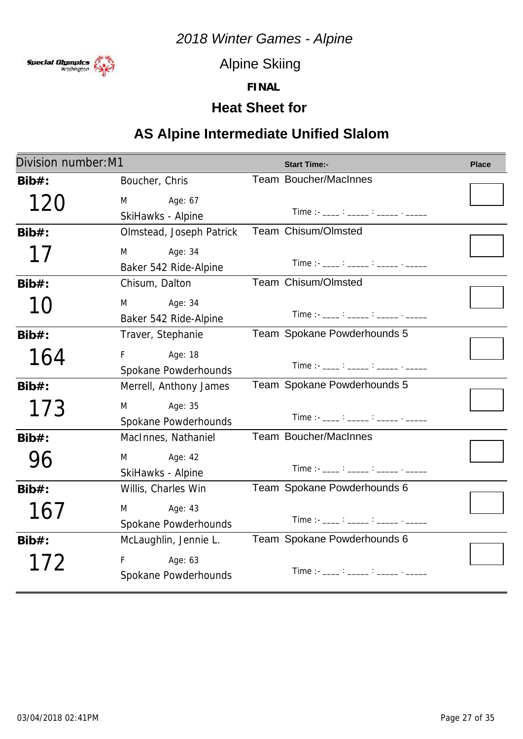

Alpine Skiing

**FINAL**

### **Heat Sheet for**

# **AS Alpine Intermediate Unified Slalom**

| Division number: M1 |                                       | <b>Start Time:-</b>                                                                                                                                                                                                                                                                                                    | <b>Place</b> |  |
|---------------------|---------------------------------------|------------------------------------------------------------------------------------------------------------------------------------------------------------------------------------------------------------------------------------------------------------------------------------------------------------------------|--------------|--|
| $Bib#$ :            | Boucher, Chris                        | Team Boucher/MacInnes                                                                                                                                                                                                                                                                                                  |              |  |
| 120                 | M<br>Age: 67<br>SkiHawks - Alpine     | Time :- ____ : _____ : _____ . _____                                                                                                                                                                                                                                                                                   |              |  |
| $Bib#$ :            | Olmstead, Joseph Patrick              | Team Chisum/Olmsted                                                                                                                                                                                                                                                                                                    |              |  |
| 17                  | Age: 34<br>M<br>Baker 542 Ride-Alpine | $Time:  \frac{1}{2}$ : $\frac{1}{2}$ : $\frac{1}{2}$ : $\frac{1}{2}$ : $\frac{1}{2}$ : $\frac{1}{2}$ : $\frac{1}{2}$ : $\frac{1}{2}$ : $\frac{1}{2}$ : $\frac{1}{2}$ : $\frac{1}{2}$ : $\frac{1}{2}$ : $\frac{1}{2}$ : $\frac{1}{2}$ : $\frac{1}{2}$ : $\frac{1}{2}$ : $\frac{1}{2}$ : $\frac{1}{2}$ :                 |              |  |
| $Bib#$ :            | Chisum, Dalton                        | Team Chisum/Olmsted                                                                                                                                                                                                                                                                                                    |              |  |
| 10                  | M<br>Age: 34<br>Baker 542 Ride-Alpine | Time :- $\frac{1}{2}$ : $\frac{1}{2}$ : $\frac{1}{2}$ : $\frac{1}{2}$ : $\frac{1}{2}$ : $\frac{1}{2}$                                                                                                                                                                                                                  |              |  |
| $Bib#$ :            | Traver, Stephanie                     | Team Spokane Powderhounds 5                                                                                                                                                                                                                                                                                            |              |  |
| 164                 | Age: 18<br>F.<br>Spokane Powderhounds | $Time:  \frac{1}{2}$ : $\frac{1}{2}$ : $\frac{1}{2}$ : $\frac{1}{2}$ : $\frac{1}{2}$ : $\frac{1}{2}$ : $\frac{1}{2}$ : $\frac{1}{2}$ : $\frac{1}{2}$ : $\frac{1}{2}$ : $\frac{1}{2}$ : $\frac{1}{2}$ : $\frac{1}{2}$ : $\frac{1}{2}$ : $\frac{1}{2}$ : $\frac{1}{2}$ : $\frac{1}{2}$ : $\frac{1}{2}$ :                 |              |  |
| $Bib#$ :            | Merrell, Anthony James                | Team Spokane Powderhounds 5                                                                                                                                                                                                                                                                                            |              |  |
| 173                 | M<br>Age: 35<br>Spokane Powderhounds  | $Time: -$ : $\frac{1}{2}$ : $\frac{1}{2}$ : $\frac{1}{2}$ : $\frac{1}{2}$ : $\frac{1}{2}$ : $\frac{1}{2}$ : $\frac{1}{2}$ : $\frac{1}{2}$ : $\frac{1}{2}$ : $\frac{1}{2}$ : $\frac{1}{2}$ : $\frac{1}{2}$ : $\frac{1}{2}$ : $\frac{1}{2}$ : $\frac{1}{2}$ : $\frac{1}{2}$ : $\frac{1}{2}$ : $\frac{1}{$                |              |  |
| $Bib#$ :            | MacInnes, Nathaniel                   | Team Boucher/MacInnes                                                                                                                                                                                                                                                                                                  |              |  |
| 96                  | Age: 42<br>M<br>SkiHawks - Alpine     | Time :- ___ : ____ : ____ : _____ . _____                                                                                                                                                                                                                                                                              |              |  |
| $Bib#$ :            | Willis, Charles Win                   | Team Spokane Powderhounds 6                                                                                                                                                                                                                                                                                            |              |  |
| 16/                 | M<br>Age: 43<br>Spokane Powderhounds  | Time :- ____ : _____ : _____ : ______ . ______                                                                                                                                                                                                                                                                         |              |  |
| $Bib#$ :            | McLaughlin, Jennie L.                 | Team Spokane Powderhounds 6                                                                                                                                                                                                                                                                                            |              |  |
| 172                 | Age: 63<br>F<br>Spokane Powderhounds  | $Time:  \frac{1}{2}$ $\frac{1}{2}$ $\frac{1}{2}$ $\frac{1}{2}$ $\frac{1}{2}$ $\frac{1}{2}$ $\frac{1}{2}$ $\frac{1}{2}$ $\frac{1}{2}$ $\frac{1}{2}$ $\frac{1}{2}$ $\frac{1}{2}$ $\frac{1}{2}$ $\frac{1}{2}$ $\frac{1}{2}$ $\frac{1}{2}$ $\frac{1}{2}$ $\frac{1}{2}$ $\frac{1}{2}$ $\frac{1}{2}$ $\frac{1}{2}$ $\frac{1$ |              |  |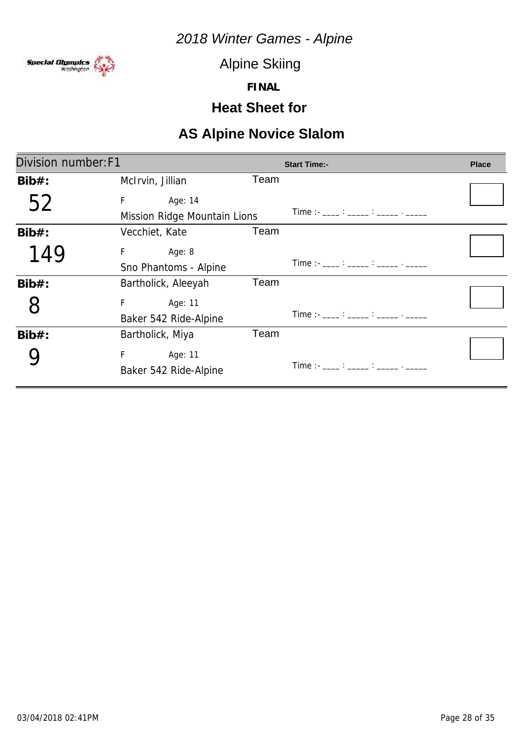

Alpine Skiing

**FINAL**

# **Heat Sheet for**

| Division number: F1 |                                              |      | <b>Start Time:-</b>                                                                                                                                                                                                                                                                                  | <b>Place</b> |
|---------------------|----------------------------------------------|------|------------------------------------------------------------------------------------------------------------------------------------------------------------------------------------------------------------------------------------------------------------------------------------------------------|--------------|
| $Bib#$ :            | McIrvin, Jillian                             | Team |                                                                                                                                                                                                                                                                                                      |              |
| 52                  | F<br>Age: 14<br>Mission Ridge Mountain Lions |      | Time :- ____ : _____ : _____ . _____                                                                                                                                                                                                                                                                 |              |
| $Bib#$ :            | Vecchiet, Kate                               | Team |                                                                                                                                                                                                                                                                                                      |              |
| 149                 | F.<br>Age: 8<br>Sno Phantoms - Alpine        |      | Time :- ____ : _____ : _____ . _____                                                                                                                                                                                                                                                                 |              |
| $Bib#$ :            | Bartholick, Aleeyah                          | Team |                                                                                                                                                                                                                                                                                                      |              |
| 8                   | F.<br>Age: 11<br>Baker 542 Ride-Alpine       |      | Time :- ____ : _____ : _____ . _____                                                                                                                                                                                                                                                                 |              |
| $Bib#$ :            | Bartholick, Miya                             | Team |                                                                                                                                                                                                                                                                                                      |              |
|                     | F.<br>Age: 11<br>Baker 542 Ride-Alpine       |      | Time : $\frac{1}{2}$ : $\frac{1}{2}$ : $\frac{1}{2}$ : $\frac{1}{2}$ : $\frac{1}{2}$ : $\frac{1}{2}$ : $\frac{1}{2}$ : $\frac{1}{2}$ : $\frac{1}{2}$ : $\frac{1}{2}$ : $\frac{1}{2}$ : $\frac{1}{2}$ : $\frac{1}{2}$ : $\frac{1}{2}$ : $\frac{1}{2}$ : $\frac{1}{2}$ : $\frac{1}{2}$ : $\frac{1}{2}$ |              |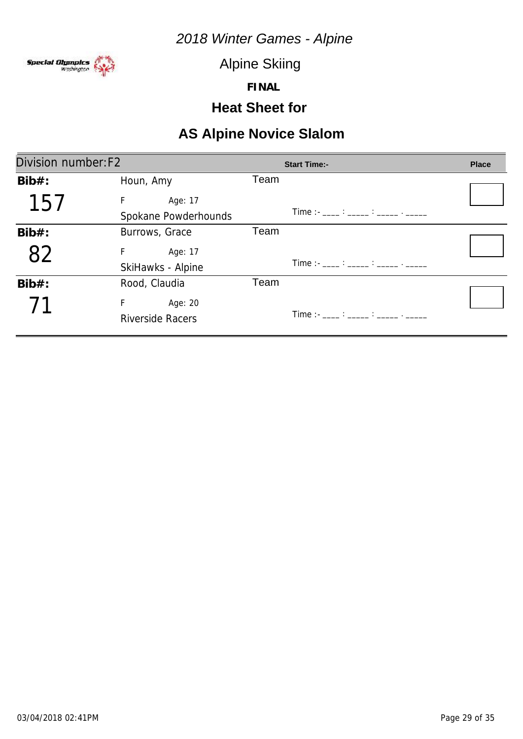

Alpine Skiing

**FINAL**

### **Heat Sheet for**

| Division number: F2 |                         | <b>Start Time:-</b>                                                                                                                                                                                                                                                                                                    | <b>Place</b> |
|---------------------|-------------------------|------------------------------------------------------------------------------------------------------------------------------------------------------------------------------------------------------------------------------------------------------------------------------------------------------------------------|--------------|
| $Bib#$ :            | Houn, Amy               | Team                                                                                                                                                                                                                                                                                                                   |              |
| 15                  | F.<br>Age: 17           |                                                                                                                                                                                                                                                                                                                        |              |
|                     | Spokane Powderhounds    | $Time:  \frac{1}{2}$ $\frac{1}{2}$ $\frac{1}{2}$ $\frac{1}{2}$ $\frac{1}{2}$ $\frac{1}{2}$ $\frac{1}{2}$ $\frac{1}{2}$ $\frac{1}{2}$ $\frac{1}{2}$ $\frac{1}{2}$ $\frac{1}{2}$ $\frac{1}{2}$ $\frac{1}{2}$ $\frac{1}{2}$ $\frac{1}{2}$ $\frac{1}{2}$ $\frac{1}{2}$ $\frac{1}{2}$ $\frac{1}{2}$ $\frac{1}{2}$ $\frac{1$ |              |
| Bib#:               | Burrows, Grace          | Team                                                                                                                                                                                                                                                                                                                   |              |
| 82                  | F<br>Age: 17            |                                                                                                                                                                                                                                                                                                                        |              |
|                     | SkiHawks - Alpine       | Time :- ___ : ____ : ____ : _____ . _____                                                                                                                                                                                                                                                                              |              |
| $Bib#$ :            | Rood, Claudia           | Team                                                                                                                                                                                                                                                                                                                   |              |
|                     | F<br>Age: 20            |                                                                                                                                                                                                                                                                                                                        |              |
|                     | <b>Riverside Racers</b> |                                                                                                                                                                                                                                                                                                                        |              |
|                     |                         |                                                                                                                                                                                                                                                                                                                        |              |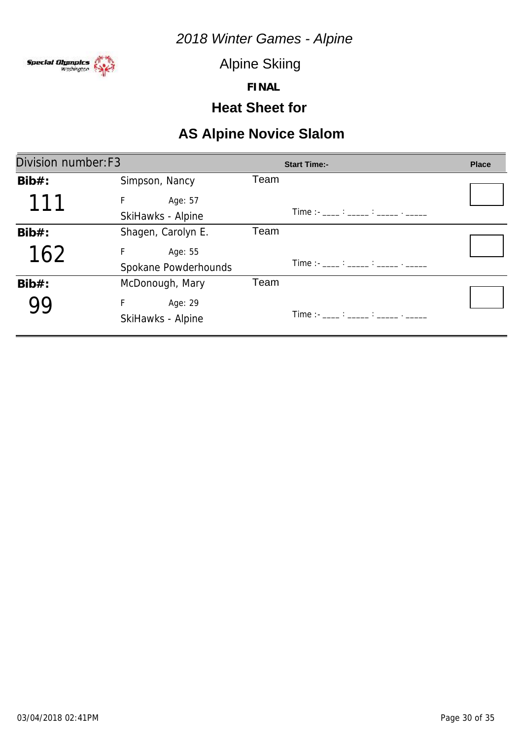

Alpine Skiing

**FINAL**

### **Heat Sheet for**

| Division number: F3 |                      | <b>Start Time:-</b>                                                          | <b>Place</b> |
|---------------------|----------------------|------------------------------------------------------------------------------|--------------|
| $Bib#$ :            | Simpson, Nancy       | Team                                                                         |              |
| 111                 | F.<br>Age: 57        |                                                                              |              |
|                     | SkiHawks - Alpine    | $Time:  \frac{?}{?}$ $\frac{?}{?}$ $\frac{?}{?}$ $\frac{?}{?}$ $\frac{?}{?}$ |              |
| $Bib#$ :            | Shagen, Carolyn E.   | Team                                                                         |              |
| 162                 | F<br>Age: 55         |                                                                              |              |
|                     | Spokane Powderhounds | Time :- ____ : _____ : _____ . _____                                         |              |
| $Bib#$ :            | McDonough, Mary      | Team                                                                         |              |
|                     | F<br>Age: 29         |                                                                              |              |
|                     | SkiHawks - Alpine    |                                                                              |              |
|                     |                      |                                                                              |              |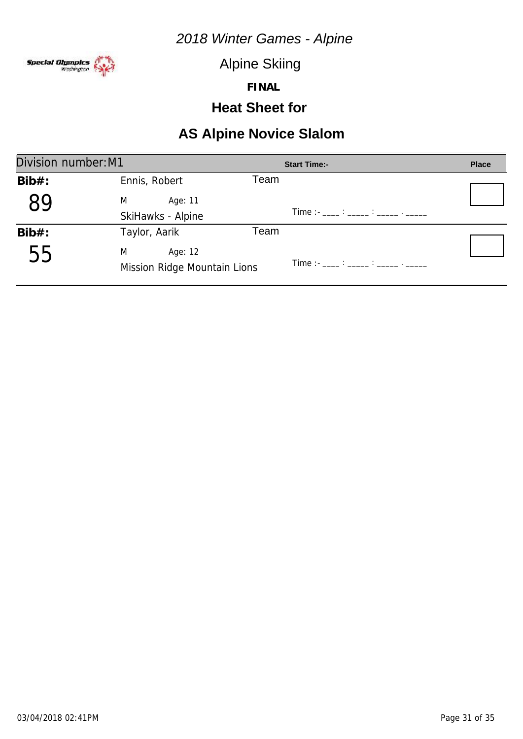

Alpine Skiing

**FINAL**

### **Heat Sheet for**

| Division number: M1 |                                              |      | <b>Start Time:-</b>                                                                                                                                                                                                               | <b>Place</b> |
|---------------------|----------------------------------------------|------|-----------------------------------------------------------------------------------------------------------------------------------------------------------------------------------------------------------------------------------|--------------|
| $Bib#$ :            | Ennis, Robert                                | Геаm |                                                                                                                                                                                                                                   |              |
|                     | M<br>Age: 11                                 |      |                                                                                                                                                                                                                                   |              |
|                     | SkiHawks - Alpine                            |      | $Time: 11.22: 12.22: 12.22: 12.22: 12.22: 12.22: 12.22: 12.22: 12.22: 12.22: 12.22: 12.22: 12.22: 12.22: 12.22: 12.22: 12.22: 12.22: 12.22: 12.22: 12.22: 12.22: 12.22: 12.22: 12.22: 12.22: 12.22: 12.22: 12.22: 12.22: 12.22: $ |              |
| $Bib#$ :            | Taylor, Aarik                                | Team |                                                                                                                                                                                                                                   |              |
| 55                  | M<br>Age: 12<br>Mission Ridge Mountain Lions |      | Time :- ____ : _____ : _____ . _____                                                                                                                                                                                              |              |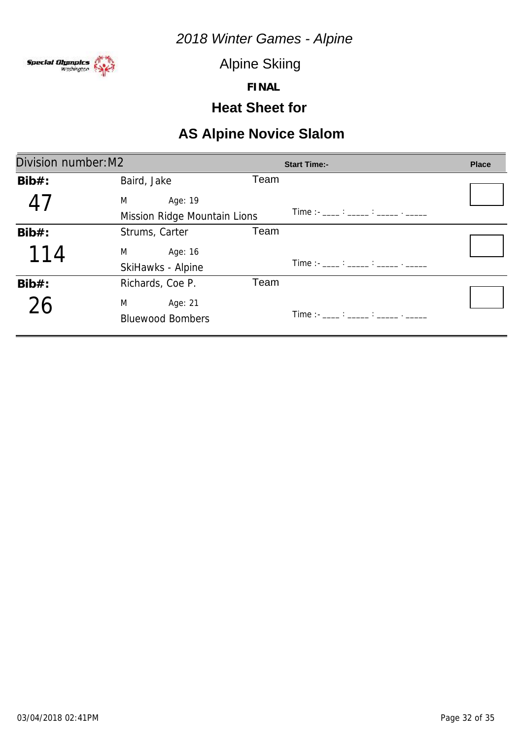

Alpine Skiing

**FINAL**

### **Heat Sheet for**

| Division number: M2     | <b>Start Time:-</b>                  | <b>Place</b>                                                                                 |
|-------------------------|--------------------------------------|----------------------------------------------------------------------------------------------|
| Baird, Jake             |                                      |                                                                                              |
| M<br>Age: 19            |                                      |                                                                                              |
|                         |                                      |                                                                                              |
| Strums, Carter          |                                      |                                                                                              |
| M<br>Age: 16            |                                      |                                                                                              |
| SkiHawks - Alpine       |                                      |                                                                                              |
| Richards, Coe P.        |                                      |                                                                                              |
| M<br>Age: 21            |                                      |                                                                                              |
| <b>Bluewood Bombers</b> | Time :- ____ : _____ : _____ . _____ |                                                                                              |
|                         |                                      | Team<br>Time :- ____ : _____ : _____ . _____<br>Mission Ridge Mountain Lions<br>Team<br>Team |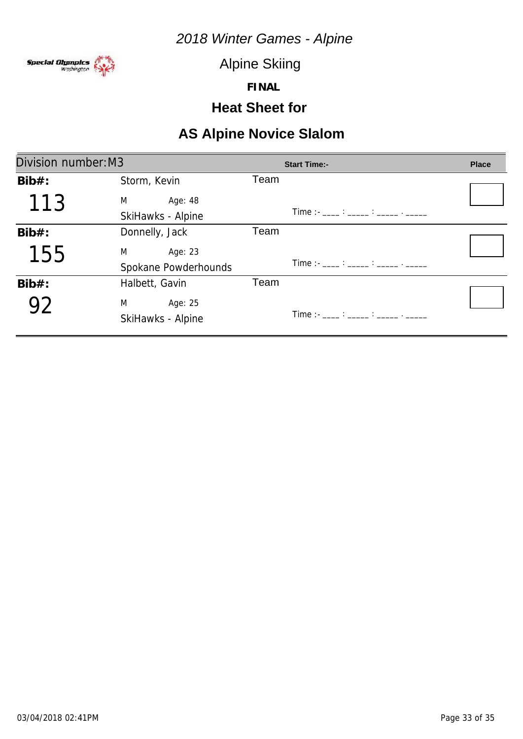

Alpine Skiing

**FINAL**

### **Heat Sheet for**

| Division number: M3 |                      | <b>Start Time:-</b>                                                                                                                                                                                                                                                                                                    | <b>Place</b> |
|---------------------|----------------------|------------------------------------------------------------------------------------------------------------------------------------------------------------------------------------------------------------------------------------------------------------------------------------------------------------------------|--------------|
| $Bib#$ :            | Storm, Kevin         | Team                                                                                                                                                                                                                                                                                                                   |              |
| 113                 | M<br>Age: 48         |                                                                                                                                                                                                                                                                                                                        |              |
|                     | SkiHawks - Alpine    | $Time:  \frac{1}{2}$ : $\frac{1}{2}$ : $\frac{1}{2}$ : $\frac{1}{2}$ : $\frac{1}{2}$ : $\frac{1}{2}$ : $\frac{1}{2}$ : $\frac{1}{2}$ : $\frac{1}{2}$ : $\frac{1}{2}$ : $\frac{1}{2}$ : $\frac{1}{2}$ : $\frac{1}{2}$ : $\frac{1}{2}$ : $\frac{1}{2}$ : $\frac{1}{2}$ : $\frac{1}{2}$ : $\frac{1}{2}$ :                 |              |
| $Bib#$ :            | Donnelly, Jack       | Team                                                                                                                                                                                                                                                                                                                   |              |
| 155                 | M<br>Age: 23         |                                                                                                                                                                                                                                                                                                                        |              |
|                     | Spokane Powderhounds | $Time:  \frac{1}{2}$ $\frac{1}{2}$ $\frac{1}{2}$ $\frac{1}{2}$ $\frac{1}{2}$ $\frac{1}{2}$ $\frac{1}{2}$ $\frac{1}{2}$ $\frac{1}{2}$ $\frac{1}{2}$ $\frac{1}{2}$ $\frac{1}{2}$ $\frac{1}{2}$ $\frac{1}{2}$ $\frac{1}{2}$ $\frac{1}{2}$ $\frac{1}{2}$ $\frac{1}{2}$ $\frac{1}{2}$ $\frac{1}{2}$ $\frac{1}{2}$ $\frac{1$ |              |
| $Bib#$ :            | Halbett, Gavin       | Team                                                                                                                                                                                                                                                                                                                   |              |
|                     | M<br>Age: 25         |                                                                                                                                                                                                                                                                                                                        |              |
|                     | SkiHawks - Alpine    | $Time: 11.22: 12.22: 12.22: 12.22: 12.22: 12.22: 12.22: 12.22: 12.22: 12.22: 12.22: 12.22: 12.22: 12.22: 12.22: 12.22: 12.22: 12.22: 12.22: 12.22: 12.22: 12.22: 12.22: 12.22: 12.22: 12.22: 12.22: 12.22: 12.22: 12.22: 12.22: $                                                                                      |              |
|                     |                      |                                                                                                                                                                                                                                                                                                                        |              |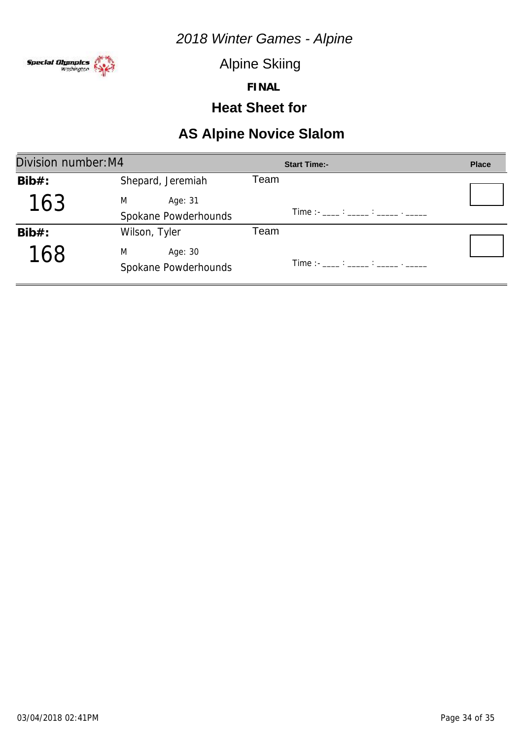

Alpine Skiing

**FINAL**

### **Heat Sheet for**

| Division number: M4 |                      | <b>Start Time:-</b>                  | <b>Place</b> |
|---------------------|----------------------|--------------------------------------|--------------|
| $Bib#$ :            | Shepard, Jeremiah    | Team                                 |              |
| 163                 | M<br>Age: 31         |                                      |              |
|                     | Spokane Powderhounds | Time :- ____ : _____ : _____ . _____ |              |
| $Bib#$ :            | Wilson, Tyler        | Team                                 |              |
| 168                 | M<br>Age: 30         |                                      |              |
|                     | Spokane Powderhounds |                                      |              |